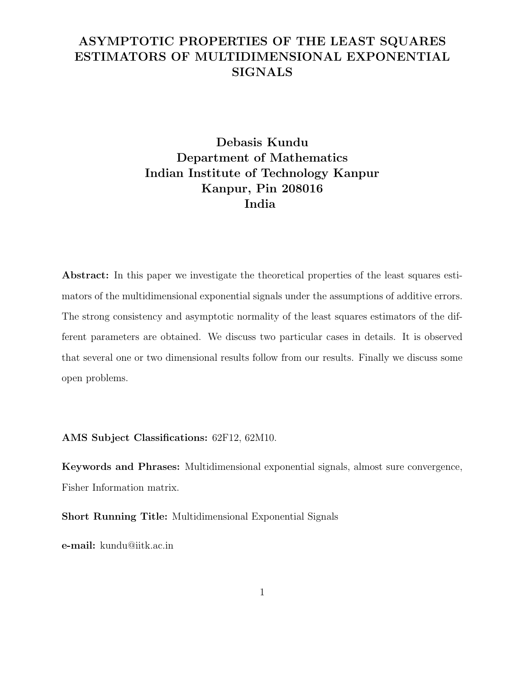## ASYMPTOTIC PROPERTIES OF THE LEAST SQUARES ESTIMATORS OF MULTIDIMENSIONAL EXPONENTIAL **SIGNALS**

# Debasis Kundu Department of Mathematics Indian Institute of Technology Kanpur Kanpur, Pin 208016 India

Abstract: In this paper we investigate the theoretical properties of the least squares estimators of the multidimensional exponential signals under the assumptions of additive errors. The strong consistency and asymptotic normality of the least squares estimators of the different parameters are obtained. We discuss two particular cases in details. It is observed that several one or two dimensional results follow from our results. Finally we discuss some open problems.

#### AMS Subject Classifications: 62F12, 62M10.

Keywords and Phrases: Multidimensional exponential signals, almost sure convergence, Fisher Information matrix.

Short Running Title: Multidimensional Exponential Signals

e-mail: kundu@iitk.ac.in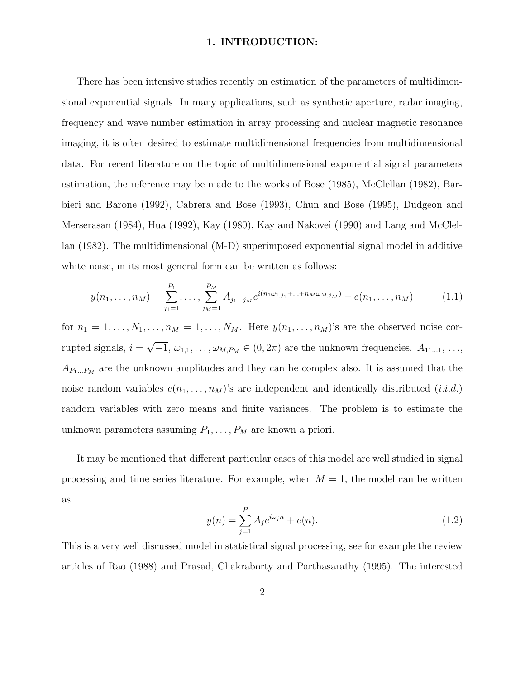#### 1. INTRODUCTION:

There has been intensive studies recently on estimation of the parameters of multidimensional exponential signals. In many applications, such as synthetic aperture, radar imaging, frequency and wave number estimation in array processing and nuclear magnetic resonance imaging, it is often desired to estimate multidimensional frequencies from multidimensional data. For recent literature on the topic of multidimensional exponential signal parameters estimation, the reference may be made to the works of Bose (1985), McClellan (1982), Barbieri and Barone (1992), Cabrera and Bose (1993), Chun and Bose (1995), Dudgeon and Merserasan (1984), Hua (1992), Kay (1980), Kay and Nakovei (1990) and Lang and McClellan (1982). The multidimensional (M-D) superimposed exponential signal model in additive white noise, in its most general form can be written as follows:

$$
y(n_1, \ldots, n_M) = \sum_{j_1=1}^{P_1}, \ldots, \sum_{j_M=1}^{P_M} A_{j_1 \ldots j_M} e^{i(n_1 \omega_{1,j_1} + \ldots + n_M \omega_{M,j_M})} + e(n_1, \ldots, n_M)
$$
(1.1)

for  $n_1 = 1, \ldots, N_1, \ldots, n_M = 1, \ldots, N_M$ . Here  $y(n_1, \ldots, n_M)$ 's are the observed noise corrupted signals,  $i = \sqrt{-1}$ ,  $\omega_{1,1}, \ldots, \omega_{M,P_M} \in (0, 2\pi)$  are the unknown frequencies.  $A_{11...1}, \ldots,$  $A_{P_1...P_M}$  are the unknown amplitudes and they can be complex also. It is assumed that the noise random variables  $e(n_1, \ldots, n_M)$ 's are independent and identically distributed  $(i.i.d.)$ random variables with zero means and finite variances. The problem is to estimate the unknown parameters assuming  $P_1, \ldots, P_M$  are known a priori.

It may be mentioned that different particular cases of this model are well studied in signal processing and time series literature. For example, when  $M = 1$ , the model can be written as

$$
y(n) = \sum_{j=1}^{P} A_j e^{i\omega_j n} + e(n).
$$
 (1.2)

This is a very well discussed model in statistical signal processing, see for example the review articles of Rao (1988) and Prasad, Chakraborty and Parthasarathy (1995). The interested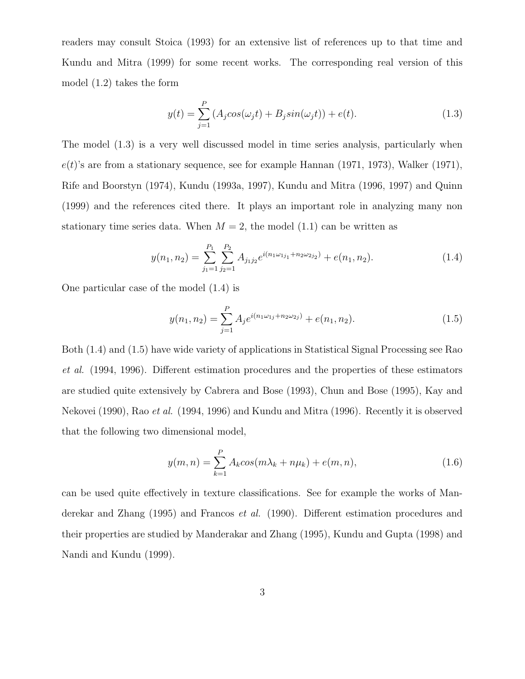readers may consult Stoica (1993) for an extensive list of references up to that time and Kundu and Mitra (1999) for some recent works. The corresponding real version of this model (1.2) takes the form

$$
y(t) = \sum_{j=1}^{P} (A_j \cos(\omega_j t) + B_j \sin(\omega_j t)) + e(t).
$$
 (1.3)

The model (1.3) is a very well discussed model in time series analysis, particularly when  $e(t)$ 's are from a stationary sequence, see for example Hannan (1971, 1973), Walker (1971), Rife and Boorstyn (1974), Kundu (1993a, 1997), Kundu and Mitra (1996, 1997) and Quinn (1999) and the references cited there. It plays an important role in analyzing many non stationary time series data. When  $M = 2$ , the model (1.1) can be written as

$$
y(n_1, n_2) = \sum_{j_1=1}^{P_1} \sum_{j_2=1}^{P_2} A_{j_1 j_2} e^{i(n_1 \omega_{1j_1} + n_2 \omega_{2j_2})} + e(n_1, n_2).
$$
 (1.4)

One particular case of the model (1.4) is

$$
y(n_1, n_2) = \sum_{j=1}^{P} A_j e^{i(n_1 \omega_{1j} + n_2 \omega_{2j})} + e(n_1, n_2).
$$
 (1.5)

Both (1.4) and (1.5) have wide variety of applications in Statistical Signal Processing see Rao et al. (1994, 1996). Different estimation procedures and the properties of these estimators are studied quite extensively by Cabrera and Bose (1993), Chun and Bose (1995), Kay and Nekovei (1990), Rao et al. (1994, 1996) and Kundu and Mitra (1996). Recently it is observed that the following two dimensional model,

$$
y(m,n) = \sum_{k=1}^{P} A_k \cos(m\lambda_k + n\mu_k) + e(m,n),
$$
\n(1.6)

can be used quite effectively in texture classifications. See for example the works of Manderekar and Zhang (1995) and Francos *et al.* (1990). Different estimation procedures and their properties are studied by Manderakar and Zhang (1995), Kundu and Gupta (1998) and Nandi and Kundu (1999).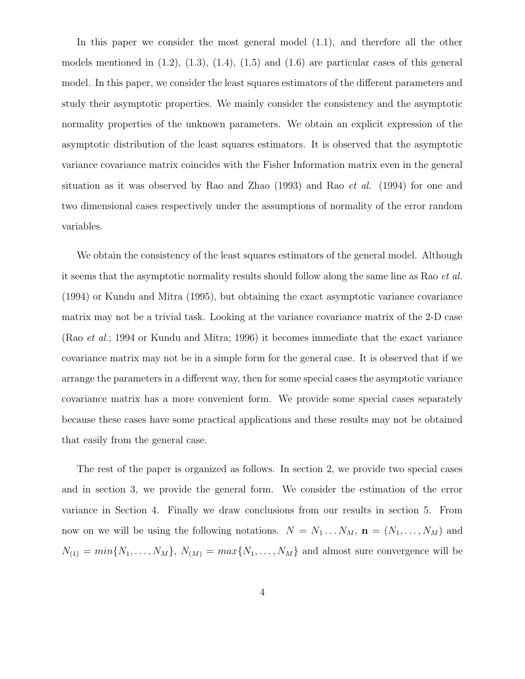In this paper we consider the most general model (1.1), and therefore all the other models mentioned in  $(1.2)$ ,  $(1.3)$ ,  $(1.4)$ ,  $(1.5)$  and  $(1.6)$  are particular cases of this general model. In this paper, we consider the least squares estimators of the different parameters and study their asymptotic properties. We mainly consider the consistency and the asymptotic normality properties of the unknown parameters. We obtain an explicit expression of the asymptotic distribution of the least squares estimators. It is observed that the asymptotic variance covariance matrix coincides with the Fisher Information matrix even in the general situation as it was observed by Rao and Zhao (1993) and Rao et al. (1994) for one and two dimensional cases respectively under the assumptions of normality of the error random variables.

We obtain the consistency of the least squares estimators of the general model. Although it seems that the asymptotic normality results should follow along the same line as Rao et al. (1994) or Kundu and Mitra (1995), but obtaining the exact asymptotic variance covariance matrix may not be a trivial task. Looking at the variance covariance matrix of the 2-D case (Rao et al.; 1994 or Kundu and Mitra; 1996) it becomes immediate that the exact variance covariance matrix may not be in a simple form for the general case. It is observed that if we arrange the parameters in a different way, then for some special cases the asymptotic variance covariance matrix has a more convenient form. We provide some special cases separately because these cases have some practical applications and these results may not be obtained that easily from the general case.

The rest of the paper is organized as follows. In section 2, we provide two special cases and in section 3, we provide the general form. We consider the estimation of the error variance in Section 4. Finally we draw conclusions from our results in section 5. From now on we will be using the following notations.  $N = N_1 ... N_M$ ,  $\mathbf{n} = (N_1, ..., N_M)$  and  $N_{(1)} = min\{N_1, \ldots, N_M\}, N_{(M)} = max\{N_1, \ldots, N_M\}$  and almost sure convergence will be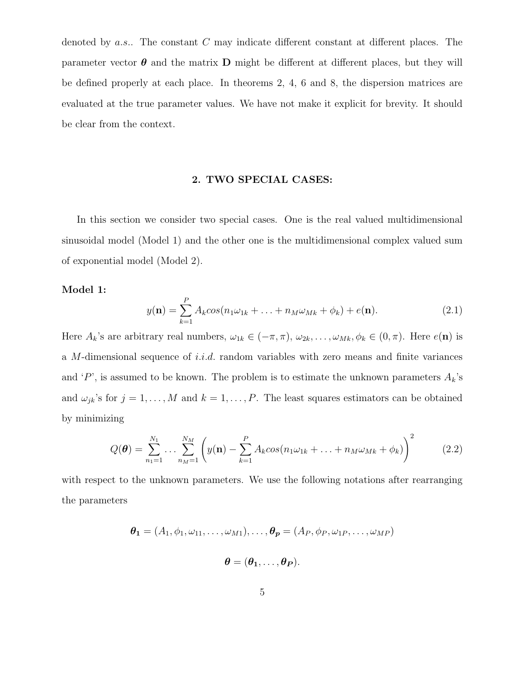denoted by  $a.s.$ . The constant  $C$  may indicate different constant at different places. The parameter vector  $\boldsymbol{\theta}$  and the matrix **D** might be different at different places, but they will be defined properly at each place. In theorems 2, 4, 6 and 8, the dispersion matrices are evaluated at the true parameter values. We have not make it explicit for brevity. It should be clear from the context.

#### 2. TWO SPECIAL CASES:

In this section we consider two special cases. One is the real valued multidimensional sinusoidal model (Model 1) and the other one is the multidimensional complex valued sum of exponential model (Model 2).

#### Model 1:

$$
y(\mathbf{n}) = \sum_{k=1}^{P} A_k \cos(n_1 \omega_{1k} + \dots + n_M \omega_{Mk} + \phi_k) + e(\mathbf{n}).
$$
 (2.1)

Here  $A_k$ 's are arbitrary real numbers,  $\omega_{1k} \in (-\pi, \pi)$ ,  $\omega_{2k}$ , ...,  $\omega_{Mk}$ ,  $\phi_k \in (0, \pi)$ . Here  $e(\mathbf{n})$  is a  $M$ -dimensional sequence of *i.i.d.* random variables with zero means and finite variances and 'P', is assumed to be known. The problem is to estimate the unknown parameters  $A_k$ 's and  $\omega_{jk}$ 's for  $j = 1, ..., M$  and  $k = 1, ..., P$ . The least squares estimators can be obtained by minimizing

$$
Q(\boldsymbol{\theta}) = \sum_{n_1=1}^{N_1} \dots \sum_{n_M=1}^{N_M} \left( y(\mathbf{n}) - \sum_{k=1}^P A_k \cos(n_1 \omega_{1k} + \dots + n_M \omega_{Mk} + \phi_k) \right)^2 \tag{2.2}
$$

with respect to the unknown parameters. We use the following notations after rearranging the parameters

$$
\boldsymbol{\theta_1} = (A_1, \phi_1, \omega_{11}, \dots, \omega_{M1}), \dots, \boldsymbol{\theta_p} = (A_P, \phi_P, \omega_{1P}, \dots, \omega_{MP})
$$

$$
\boldsymbol{\theta} = (\boldsymbol{\theta_1}, \dots, \boldsymbol{\theta_P}).
$$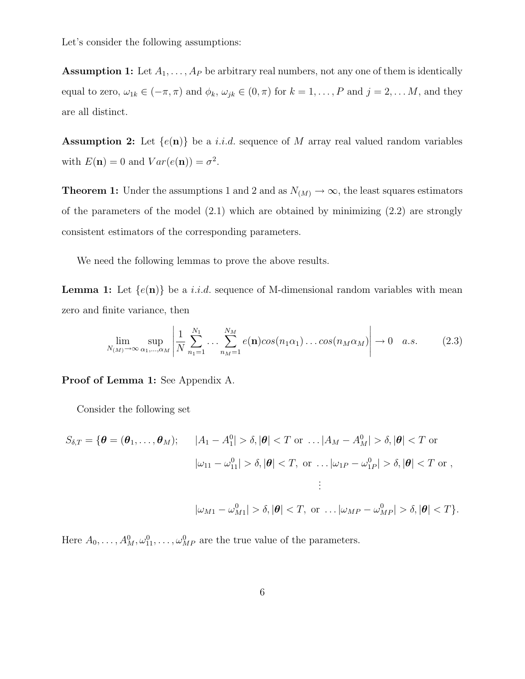Let's consider the following assumptions:

**Assumption 1:** Let  $A_1, \ldots, A_p$  be arbitrary real numbers, not any one of them is identically equal to zero,  $\omega_{1k} \in (-\pi, \pi)$  and  $\phi_k$ ,  $\omega_{jk} \in (0, \pi)$  for  $k = 1, \ldots, P$  and  $j = 2, \ldots, M$ , and they are all distinct.

**Assumption 2:** Let  $\{e(\mathbf{n})\}$  be a *i.i.d.* sequence of M array real valued random variables with  $E(\mathbf{n}) = 0$  and  $Var(e(\mathbf{n})) = \sigma^2$ .

**Theorem 1:** Under the assumptions 1 and 2 and as  $N_{(M)} \to \infty$ , the least squares estimators of the parameters of the model  $(2.1)$  which are obtained by minimizing  $(2.2)$  are strongly consistent estimators of the corresponding parameters.

We need the following lemmas to prove the above results.

**Lemma 1:** Let  $\{e(\mathbf{n})\}$  be a *i.i.d.* sequence of M-dimensional random variables with mean zero and finite variance, then

$$
\lim_{N_{(M)} \to \infty} \sup_{\alpha_1, \dots, \alpha_M} \left| \frac{1}{N} \sum_{n_1=1}^{N_1} \dots \sum_{n_M=1}^{N_M} e(\mathbf{n}) \cos(n_1 \alpha_1) \dots \cos(n_M \alpha_M) \right| \to 0 \quad a.s. \tag{2.3}
$$

Proof of Lemma 1: See Appendix A.

Consider the following set

$$
S_{\delta,T} = \{ \theta = (\theta_1, \dots, \theta_M); \qquad |A_1 - A_1^0| > \delta, |\theta| < T \text{ or } \dots |A_M - A_M^0| > \delta, |\theta| < T \text{ or}
$$

$$
|\omega_{11} - \omega_{11}^0| > \delta, |\theta| < T, \text{ or } \dots |\omega_{1P} - \omega_{1P}^0| > \delta, |\theta| < T \text{ or},
$$

$$
\vdots
$$

$$
|\omega_{M1} - \omega_{M1}^0| > \delta, |\theta| < T, \text{ or } \dots |\omega_{MP} - \omega_{MP}^0| > \delta, |\theta| < T \}.
$$

Here  $A_0, \ldots, A_M^0, \omega_{11}^0, \ldots, \omega_{MP}^0$  are the true value of the parameters.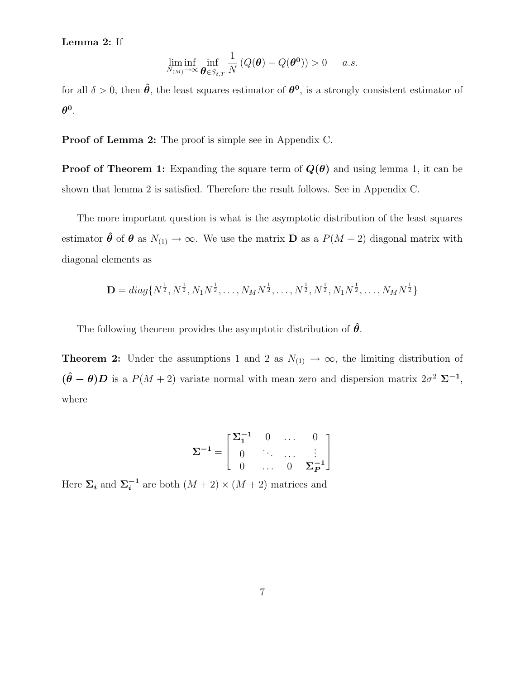### Lemma 2: If

$$
\liminf_{N_{(M)} \to \infty} \inf_{\boldsymbol{\theta} \in S_{\delta,T}} \frac{1}{N} \left( Q(\boldsymbol{\theta}) - Q(\boldsymbol{\theta}^0) \right) > 0 \quad a.s.
$$

for all  $\delta > 0$ , then  $\hat{\theta}$ , the least squares estimator of  $\theta^0$ , is a strongly consistent estimator of  $\boldsymbol{\theta}^{\mathbf{0}}.$ 

**Proof of Lemma 2:** The proof is simple see in Appendix C.

**Proof of Theorem 1:** Expanding the square term of  $Q(\theta)$  and using lemma 1, it can be shown that lemma 2 is satisfied. Therefore the result follows. See in Appendix C.

The more important question is what is the asymptotic distribution of the least squares estimator  $\hat{\theta}$  of  $\theta$  as  $N_{(1)} \to \infty$ . We use the matrix D as a  $P(M+2)$  diagonal matrix with diagonal elements as

$$
\mathbf{D} = diag\{N^{\frac{1}{2}}, N^{\frac{1}{2}}, N_1N^{\frac{1}{2}}, \dots, N_MN^{\frac{1}{2}}, \dots, N^{\frac{1}{2}}, N^{\frac{1}{2}}, N_1N^{\frac{1}{2}}, \dots, N_MN^{\frac{1}{2}}\}
$$

The following theorem provides the asymptotic distribution of  $\hat{\theta}$ .

**Theorem 2:** Under the assumptions 1 and 2 as  $N_{(1)} \rightarrow \infty$ , the limiting distribution of  $(\hat{\theta} - \theta)D$  is a  $P(M + 2)$  variate normal with mean zero and dispersion matrix  $2\sigma^2 \Sigma^{-1}$ , where

$$
\Sigma^{-1} = \begin{bmatrix} \Sigma_1^{-1} & 0 & \dots & 0 \\ 0 & \ddots & \dots & \vdots \\ 0 & \dots & 0 & \Sigma_P^{-1} \end{bmatrix}
$$

Here  $\Sigma_i$  and  $\Sigma_i^{-1}$  are both  $(M+2) \times (M+2)$  matrices and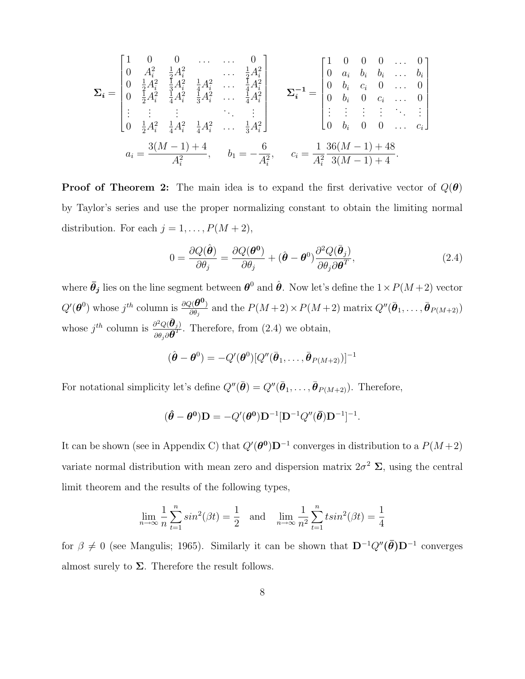$$
\Sigma_{i} = \begin{bmatrix} 1 & 0 & 0 & \dots & 0 \\ 0 & A_{i}^{2} & \frac{1}{2}A_{i}^{2} & \dots & \frac{1}{2}A_{i}^{2} \\ 0 & \frac{1}{2}A_{i}^{2} & \frac{1}{3}A_{i}^{2} & \frac{1}{4}A_{i}^{2} & \dots & \frac{1}{4}A_{i}^{2} \\ 0 & \frac{1}{2}A_{i}^{2} & \frac{1}{4}A_{i}^{2} & \frac{1}{3}A_{i}^{2} & \dots & \frac{1}{4}A_{i}^{2} \\ \vdots & \vdots & \vdots & \ddots & \vdots \\ 0 & \frac{1}{2}A_{i}^{2} & \frac{1}{4}A_{i}^{2} & \frac{1}{4}A_{i}^{2} & \dots & \frac{1}{3}A_{i}^{2} \end{bmatrix} \qquad \Sigma_{i}^{-1} = \begin{bmatrix} 1 & 0 & 0 & 0 & \dots & 0 \\ 0 & a_{i} & b_{i} & b_{i} & \dots & b_{i} \\ 0 & b_{i} & c_{i} & 0 & \dots & 0 \\ 0 & b_{i} & 0 & c_{i} & \dots & 0 \\ \vdots & \vdots & \vdots & \vdots & \ddots & \vdots \\ 0 & b_{i} & 0 & 0 & \dots & c_{i} \end{bmatrix}
$$

$$
a_{i} = \frac{3(M-1)+4}{A_{i}^{2}}, \qquad b_{1} = -\frac{6}{A_{i}^{2}}, \qquad c_{i} = \frac{1}{A_{i}^{2}} \frac{36(M-1)+48}{3(M-1)+4}.
$$

**Proof of Theorem 2:** The main idea is to expand the first derivative vector of  $Q(\theta)$ by Taylor's series and use the proper normalizing constant to obtain the limiting normal distribution. For each  $j = 1, ..., P(M + 2)$ ,

$$
0 = \frac{\partial Q(\hat{\boldsymbol{\theta}})}{\partial \theta_j} = \frac{\partial Q(\boldsymbol{\theta^0})}{\partial \theta_j} + (\hat{\boldsymbol{\theta}} - \boldsymbol{\theta}^0) \frac{\partial^2 Q(\bar{\boldsymbol{\theta}}_j)}{\partial \theta_j \partial \boldsymbol{\theta}^T},
$$
(2.4)

where  $\bar{\theta}_j$  lies on the line segment between  $\theta^0$  and  $\hat{\theta}$ . Now let's define the  $1 \times P(M+2)$  vector  $Q'(\boldsymbol{\theta}^0)$  whose  $j^{th}$  column is  $\frac{\partial Q(\boldsymbol{\theta}^0)}{\partial \theta}$  $\frac{\partial(\bm{\theta^o})}{\partial\theta_j}$  and the  $P(M+2)\times P(M+2)$  matrix  $Q''(\bar{\bm{\theta}}_1,\ldots,\bar{\bm{\theta}}_{P(M+2)})$ whose  $j^{th}$  column is  $\frac{\partial^2 Q(\bar{\boldsymbol{\theta}}_j)}{\partial \tilde{\boldsymbol{\theta}}_j \partial T}$  $\frac{\partial^2 Q(\mathbf{O}_j)}{\partial \theta_j \partial \mathbf{\theta}^T}$ . Therefore, from (2.4) we obtain,

$$
(\hat{\boldsymbol{\theta}} - \boldsymbol{\theta}^0) = -Q'(\boldsymbol{\theta}^0)[Q''(\bar{\boldsymbol{\theta}}_1,\ldots,\bar{\boldsymbol{\theta}}_{P(M+2)})]^{-1}
$$

For notational simplicity let's define  $Q''(\bar{\theta}) = Q''(\bar{\theta}_1, \ldots, \bar{\theta}_{P(M+2)})$ . Therefore,

$$
(\hat{\boldsymbol{\theta}} - \boldsymbol{\theta}^{\mathbf{0}})\mathbf{D} = -Q'(\boldsymbol{\theta}^{\mathbf{0}})\mathbf{D}^{-1}[\mathbf{D}^{-1}Q''(\bar{\boldsymbol{\theta}})\mathbf{D}^{-1}]^{-1}.
$$

It can be shown (see in Appendix C) that  $Q'(\theta^0)D^{-1}$  converges in distribution to a  $P(M+2)$ variate normal distribution with mean zero and dispersion matrix  $2\sigma^2 \Sigma$ , using the central limit theorem and the results of the following types,

$$
\lim_{n \to \infty} \frac{1}{n} \sum_{t=1}^{n} \sin^{2}(\beta t) = \frac{1}{2} \text{ and } \lim_{n \to \infty} \frac{1}{n^{2}} \sum_{t=1}^{n} \sin^{2}(\beta t) = \frac{1}{4}
$$

for  $\beta \neq 0$  (see Mangulis; 1965). Similarly it can be shown that  $D^{-1}Q''(\bar{\theta})D^{-1}$  converges almost surely to  $\Sigma$ . Therefore the result follows.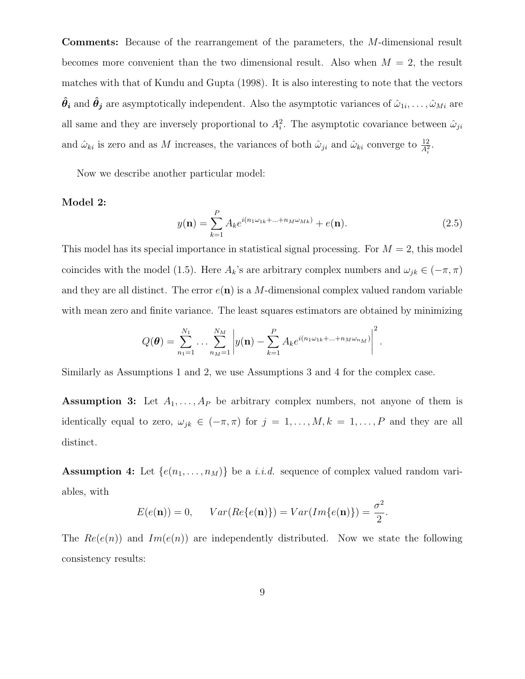Comments: Because of the rearrangement of the parameters, the M-dimensional result becomes more convenient than the two dimensional result. Also when  $M = 2$ , the result matches with that of Kundu and Gupta (1998). It is also interesting to note that the vectors  $\hat{\bm{\theta}}_i$  and  $\hat{\bm{\theta}}_j$  are asymptotically independent. Also the asymptotic variances of  $\hat{\omega}_{1i},\ldots,\hat{\omega}_{Mi}$  are all same and they are inversely proportional to  $A_i^2$ . The asymptotic covariance between  $\hat{\omega}_{ji}$ and  $\hat{\omega}_{ki}$  is zero and as M increases, the variances of both  $\hat{\omega}_{ji}$  and  $\hat{\omega}_{ki}$  converge to  $\frac{12}{A_i^2}$ .

Now we describe another particular model:

#### Model 2:

$$
y(\mathbf{n}) = \sum_{k=1}^{P} A_k e^{i(n_1 \omega_{1k} + \dots + n_M \omega_{Mk})} + e(\mathbf{n}).
$$
\n(2.5)

This model has its special importance in statistical signal processing. For  $M = 2$ , this model coincides with the model (1.5). Here  $A_k$ 's are arbitrary complex numbers and  $\omega_{jk} \in (-\pi, \pi)$ and they are all distinct. The error  $e(n)$  is a M-dimensional complex valued random variable with mean zero and finite variance. The least squares estimators are obtained by minimizing

$$
Q(\boldsymbol{\theta}) = \sum_{n_1=1}^{N_1} \dots \sum_{n_M=1}^{N_M} \left| y(\mathbf{n}) - \sum_{k=1}^P A_k e^{i(n_1 \omega_{1k} + \dots + n_M \omega_{n_M})} \right|^2.
$$

Similarly as Assumptions 1 and 2, we use Assumptions 3 and 4 for the complex case.

**Assumption 3:** Let  $A_1, \ldots, A_p$  be arbitrary complex numbers, not anyone of them is identically equal to zero,  $\omega_{jk} \in (-\pi, \pi)$  for  $j = 1, \ldots, M, k = 1, \ldots, P$  and they are all distinct.

**Assumption 4:** Let  $\{e(n_1, \ldots, n_M)\}\)$  be a *i.i.d.* sequence of complex valued random variables, with

$$
E(e(\mathbf{n})) = 0, \qquad Var(Re\{e(\mathbf{n})\}) = Var(Im\{e(\mathbf{n})\}) = \frac{\sigma^2}{2}.
$$

The  $Re(e(n))$  and  $Im(e(n))$  are independently distributed. Now we state the following consistency results: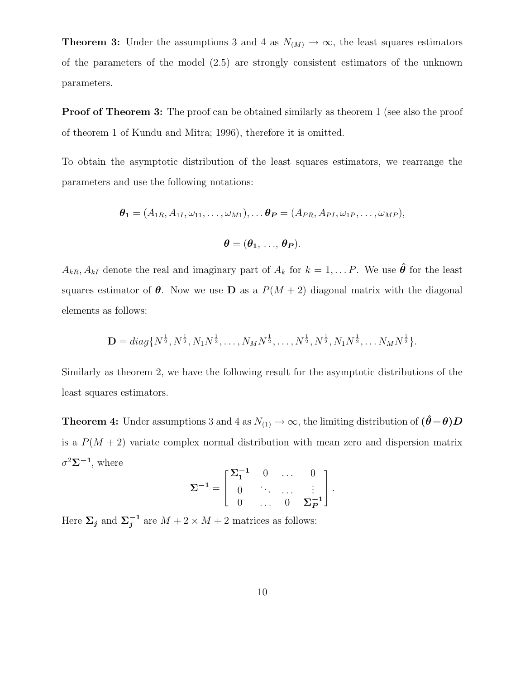**Theorem 3:** Under the assumptions 3 and 4 as  $N(M) \to \infty$ , the least squares estimators of the parameters of the model (2.5) are strongly consistent estimators of the unknown parameters.

**Proof of Theorem 3:** The proof can be obtained similarly as theorem 1 (see also the proof of theorem 1 of Kundu and Mitra; 1996), therefore it is omitted.

To obtain the asymptotic distribution of the least squares estimators, we rearrange the parameters and use the following notations:

$$
\boldsymbol{\theta_1} = (A_{1R}, A_{1I}, \omega_{11}, \ldots, \omega_{M1}), \ldots \boldsymbol{\theta_P} = (A_{PR}, A_{PI}, \omega_{1P}, \ldots, \omega_{MP}),
$$

$$
\boldsymbol{\theta} = (\boldsymbol{\theta_1},\,...,\,\boldsymbol{\theta_P}).
$$

 $A_{kR}$ ,  $A_{kI}$  denote the real and imaginary part of  $A_k$  for  $k = 1, \ldots P$ . We use  $\hat{\theta}$  for the least squares estimator of  $\theta$ . Now we use **D** as a  $P(M + 2)$  diagonal matrix with the diagonal elements as follows:

$$
\mathbf{D} = diag\{N^{\frac{1}{2}}, N^{\frac{1}{2}}, N_1N^{\frac{1}{2}}, \dots, N_MN^{\frac{1}{2}}, \dots, N^{\frac{1}{2}}, N^{\frac{1}{2}}, N_1N^{\frac{1}{2}}, \dots N_MN^{\frac{1}{2}}\}.
$$

Similarly as theorem 2, we have the following result for the asymptotic distributions of the least squares estimators.

**Theorem 4:** Under assumptions 3 and 4 as  $N_{(1)} \to \infty$ , the limiting distribution of  $(\hat{\theta} - \theta)D$ is a  $P(M + 2)$  variate complex normal distribution with mean zero and dispersion matrix  $\sigma^2 \Sigma^{-1}$ , where

$$
\Sigma^{-1} = \begin{bmatrix} \Sigma_1^{-1} & 0 & \dots & 0 \\ 0 & \ddots & \dots & \vdots \\ 0 & \dots & 0 & \Sigma_P^{-1} \end{bmatrix}.
$$

Here  $\Sigma_j$  and  $\Sigma_j^{-1}$  are  $M + 2 \times M + 2$  matrices as follows: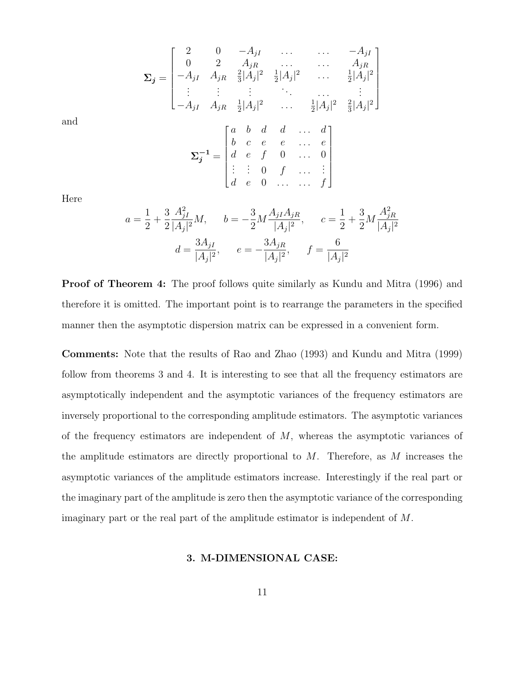$$
\Sigma_{j} = \begin{bmatrix}\n2 & 0 & -A_{jI} & \dots & \dots & -A_{jI} \\
0 & 2 & A_{jR} & \dots & \dots & A_{jR} \\
-A_{jI} & A_{jR} & \frac{2}{3}|A_j|^2 & \frac{1}{2}|A_j|^2 & \dots & \frac{1}{2}|A_j|^2 \\
\vdots & \vdots & \vdots & \ddots & \dots & \vdots \\
-A_{jI} & A_{jR} & \frac{1}{2}|A_j|^2 & \dots & \frac{1}{2}|A_j|^2 & \frac{2}{3}|A_j|^2\n\end{bmatrix}
$$
\n
$$
\Sigma_{j}^{-1} = \begin{bmatrix}\na & b & d & d & \dots & d \\
b & c & e & e & \dots & e \\
d & e & f & 0 & \dots & 0 \\
\vdots & \vdots & 0 & f & \dots & \vdots \\
d & e & 0 & \dots & \dots & f\n\end{bmatrix}
$$

Here

and

$$
a = \frac{1}{2} + \frac{3}{2} \frac{A_{jI}^2}{|A_j|^2} M, \t b = -\frac{3}{2} M \frac{A_{jI} A_{jR}}{|A_j|^2}, \t c = \frac{1}{2} + \frac{3}{2} M \frac{A_{jR}^2}{|A_j|^2}
$$

$$
d = \frac{3A_{jI}}{|A_j|^2}, \t e = -\frac{3A_{jR}}{|A_j|^2}, \t f = \frac{6}{|A_j|^2}
$$

**Proof of Theorem 4:** The proof follows quite similarly as Kundu and Mitra (1996) and therefore it is omitted. The important point is to rearrange the parameters in the specified manner then the asymptotic dispersion matrix can be expressed in a convenient form.

Comments: Note that the results of Rao and Zhao (1993) and Kundu and Mitra (1999) follow from theorems 3 and 4. It is interesting to see that all the frequency estimators are asymptotically independent and the asymptotic variances of the frequency estimators are inversely proportional to the corresponding amplitude estimators. The asymptotic variances of the frequency estimators are independent of  $M$ , whereas the asymptotic variances of the amplitude estimators are directly proportional to  $M$ . Therefore, as  $M$  increases the asymptotic variances of the amplitude estimators increase. Interestingly if the real part or the imaginary part of the amplitude is zero then the asymptotic variance of the corresponding imaginary part or the real part of the amplitude estimator is independent of M.

#### 3. M-DIMENSIONAL CASE: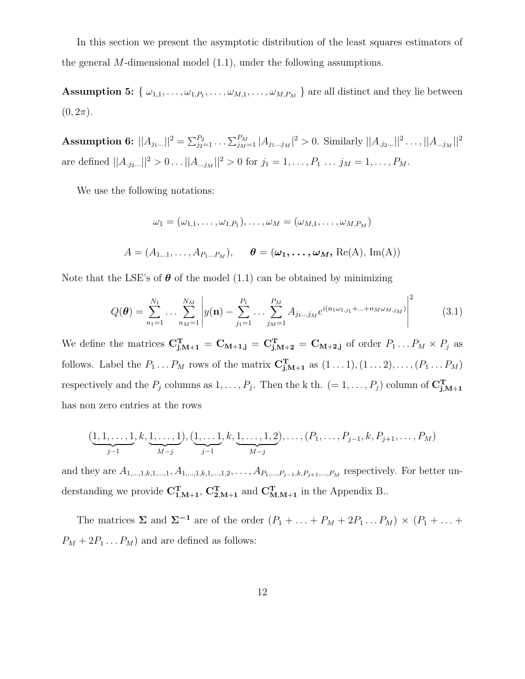In this section we present the asymptotic distribution of the least squares estimators of the general  $M$ -dimensional model  $(1.1)$ , under the following assumptions.

**Assumption 5:** { $\omega_{1,1}, \ldots, \omega_{1,P_1}, \ldots, \omega_{M,1}, \ldots, \omega_{M,P_M}$ } are all distinct and they lie between  $(0, 2\pi)$ .

Assumption 6:  $||A_{j_1...}||^2 = \sum_{j_2=1}^{P_2} \ldots \sum_{j_M=1}^{P_M} |A_{j_1...j_M}|^2 > 0$ . Similarly  $||A_{.j_2...}||^2 \ldots ||A_{...j_M}||^2$ are defined  $||A_{.j_2...}||^2 > 0 \dots ||A_{.j_M}||^2 > 0$  for  $j_1 = 1, \dots, P_1 \dots j_M = 1, \dots, P_M$ .

We use the following notations:

$$
\omega_1 = (\omega_{1,1}, \dots, \omega_{1,P_1}), \dots, \omega_M = (\omega_{M,1}, \dots, \omega_{M,P_M})
$$
  

$$
A = (A_{1...1}, \dots, A_{P_1...P_M}), \qquad \boldsymbol{\theta} = (\boldsymbol{\omega_1}, \dots, \boldsymbol{\omega_M}, \text{Re(A)}, \text{Im(A)})
$$

Note that the LSE's of  $\theta$  of the model (1.1) can be obtained by minimizing

$$
Q(\boldsymbol{\theta}) = \sum_{n_1=1}^{N_1} \dots \sum_{n_M=1}^{N_M} \left| y(\mathbf{n}) - \sum_{j_1=1}^{P_1} \dots \sum_{j_M=1}^{P_M} A_{j_1 \dots j_M} e^{i(n_1 \omega_{1,j_1} + \dots + n_M \omega_{M,j_M})} \right|^2 \tag{3.1}
$$

We define the matrices  $C_{j,M+1}^T = C_{M+1,j} = C_{j,M+2}^T = C_{M+2,j}$  of order  $P_1 \dots P_M \times P_j$  as follows. Label the  $P_1 \ldots P_M$  rows of the matrix  $\mathbf{C}_{\mathbf{j},\mathbf{M}+\mathbf{1}}^{\mathbf{T}}$  as  $(1 \ldots 1), (1 \ldots 2), \ldots, (P_1 \ldots P_M)$ respectively and the  $P_j$  columns as  $1, \ldots, P_j$ . Then the k th.  $(= 1, \ldots, P_j)$  column of  $\mathbf{C}_{\mathbf{j},\mathbf{M+1}}^{\mathbf{T}}$ has non zero entries at the rows

$$
(\underbrace{1,1,\ldots,1}_{j-1},k,\underbrace{1,\ldots,1}_{M-j}),(\underbrace{1,\ldots,1}_{j-1},k,\underbrace{1,\ldots,1,2}_{M-j}),\ldots,(P_1,\ldots,P_{j-1},k,P_{j+1},\ldots,P_M)
$$

and they are  $A_{1,...,1,k,1,...,1}, A_{1,...,1,k,1,...,1,2}, \ldots, A_{P_1,...,P_{j-1},k,P_{j+1},...,P_M}$  respectively. For better understanding we provide  $C_{1,M+1}^T$ ,  $C_{2,M+1}^T$  and  $C_{M,M+1}^T$  in the Appendix B..

The matrices  $\Sigma$  and  $\Sigma^{-1}$  are of the order  $(P_1 + \ldots + P_M + 2P_1 \ldots P_M) \times (P_1 + \ldots + P_M)$  $P_M + 2P_1 \dots P_M$ ) and are defined as follows: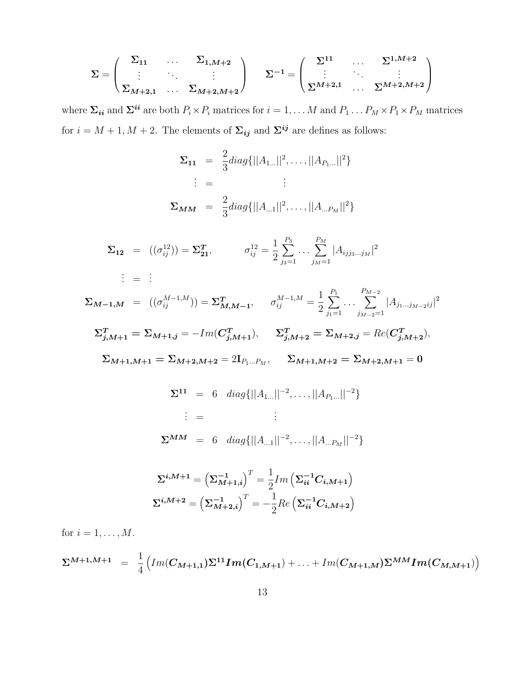$$
\Sigma = \begin{pmatrix} \Sigma_{11} & \dots & \Sigma_{1,M+2} \\ \vdots & \ddots & \vdots \\ \Sigma_{M+2,1} & \dots & \Sigma_{M+2,M+2} \end{pmatrix} \quad \Sigma^{-1} = \begin{pmatrix} \Sigma^{11} & \dots & \Sigma^{1,M+2} \\ \vdots & \ddots & \vdots \\ \Sigma^{M+2,1} & \dots & \Sigma^{M+2,M+2} \end{pmatrix}
$$

where  $\Sigma_{ii}$  and  $\Sigma^{ii}$  are both  $P_i \times P_i$  matrices for  $i = 1, \dots M$  and  $P_1 \dots P_M \times P_1 \times P_M$  matrices for  $i = M + 1, M + 2$ . The elements of  $\Sigma_{ij}$  and  $\Sigma^{ij}$  are defines as follows:

$$
\Sigma_{11} = \frac{2}{3} diag\{||A_{1...}||^2, \dots, ||A_{P_{1...}}||^2\}
$$
  
\n
$$
\vdots = \qquad \vdots
$$
  
\n
$$
\Sigma_{MM} = \frac{2}{3} diag\{||A_{...1}||^2, \dots, ||A_{...P_{M}}||^2\}
$$

$$
\Sigma_{12} = ((\sigma_{ij}^{12})) = \Sigma_{21}^T, \qquad \sigma_{ij}^{12} = \frac{1}{2} \sum_{j_3=1}^{P_3} \dots \sum_{j_M=1}^{P_M} |A_{ijj_3...j_M}|^2
$$
  
  $\vdots = \vdots$ 

 $\boldsymbol{\Sigma_{M-1,M}} \;\; = \;\; ((\sigma_{ij}^{M-1,M})) = \boldsymbol{\Sigma_{M,M-1}^T}, \;\;\;\;\;\; \sigma_{ij}^{M-1,M} =$ 1 2  $\sum$  $P_1$  $j_1=1$ . . .  $\sum^{P_{M-2}}$  $j_{M-2}=1$  $|A_{j_1...j_{M-2}ij}|^2$  $\Sigma_{j,M+1}^T = \Sigma_{M+1,j} = -Im(C_{j,M+1}^T), \quad \Sigma_{j,M+2}^T = \Sigma_{M+2,j} = Re(C_{j,M+2}^T),$  $\Sigma_{M+1,M+1} = \Sigma_{M+2,M+2} = 2\mathbf{I}_{P_1...P_M}, \quad \Sigma_{M+1,M+2} = \Sigma_{M+2,M+1} = 0$  $\mathbf{\Sigma}^{11}$  = 6 diag{ $||A_{1...}||^{-2}, \ldots, ||A_{P_{1}...}||^{-2}$ }  $\vdots$  =  $\vdots$  :  $\mathbf{\Sigma}^{\boldsymbol{M}\boldsymbol{M}} \; = \; 6 \quad diag\{||A_{...1}||^{-2}, \dots, ||A_{...P_M}||^{-2}\}$ 

$$
\Sigma^{i,M+1} = \left(\Sigma_{M+1,i}^{-1}\right)^{T} = \frac{1}{2}Im\left(\Sigma_{ii}^{-1}C_{i,M+1}\right)
$$

$$
\Sigma^{i,M+2} = \left(\Sigma_{M+2,i}^{-1}\right)^{T} = -\frac{1}{2}Re\left(\Sigma_{ii}^{-1}C_{i,M+2}\right)
$$

for  $i = 1, \ldots, M$ .

$$
\Sigma^{M+1,M+1} = \frac{1}{4} \Big( Im(C_{M+1,1}) \Sigma^{11} Im(C_{1,M+1}) + \ldots + Im(C_{M+1,M}) \Sigma^{MM} Im(C_{M,M+1}) \Big)
$$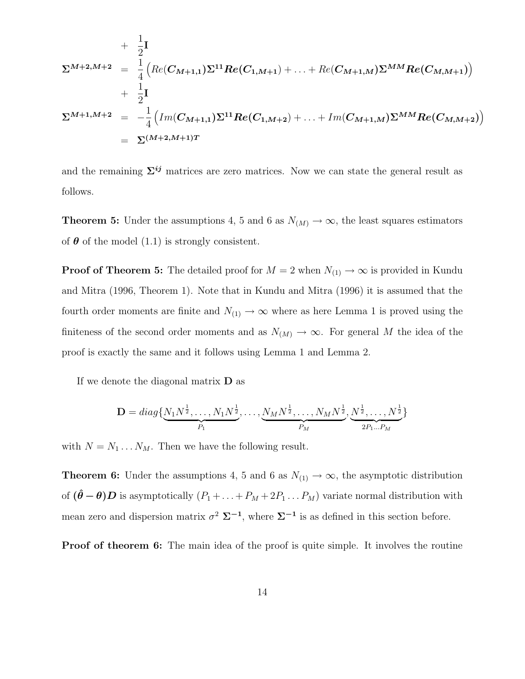+ 
$$
\frac{1}{2}
$$
\n
$$
\Sigma^{M+2,M+2} = \frac{1}{4} \Big( Re(C_{M+1,1}) \Sigma^{11} Re(C_{1,M+1}) + ... + Re(C_{M+1,M}) \Sigma^{MM} Re(C_{M,M+1}) \Big) + \frac{1}{2} \mathbf{I} \n\Sigma^{M+1,M+2} = -\frac{1}{4} \Big( Im(C_{M+1,1}) \Sigma^{11} Re(C_{1,M+2}) + ... + Im(C_{M+1,M}) \Sigma^{MM} Re(C_{M,M+2}) \Big) = \Sigma^{(M+2,M+1)T}
$$

and the remaining  $\Sigma^{ij}$  matrices are zero matrices. Now we can state the general result as follows.

**Theorem 5:** Under the assumptions 4, 5 and 6 as  $N_{(M)} \to \infty$ , the least squares estimators of  $\theta$  of the model (1.1) is strongly consistent.

**Proof of Theorem 5:** The detailed proof for  $M = 2$  when  $N_{(1)} \rightarrow \infty$  is provided in Kundu and Mitra (1996, Theorem 1). Note that in Kundu and Mitra (1996) it is assumed that the fourth order moments are finite and  $N_{(1)} \rightarrow \infty$  where as here Lemma 1 is proved using the finiteness of the second order moments and as  $N_{(M)} \to \infty$ . For general M the idea of the proof is exactly the same and it follows using Lemma 1 and Lemma 2.

If we denote the diagonal matrix  $\bf{D}$  as

$$
\mathbf{D} = diag\{N_1N^{\frac{1}{2}}, \dots, N_1N^{\frac{1}{2}}, \dots, \underbrace{N_MN^{\frac{1}{2}}, \dots, N_MN^{\frac{1}{2}}}_{P_M}, \underbrace{N^{\frac{1}{2}}, \dots, N^{\frac{1}{2}}}_{2P_1 \dots P_M}\}
$$

with  $N = N_1 \dots N_M$ . Then we have the following result.

**Theorem 6:** Under the assumptions 4, 5 and 6 as  $N_{(1)} \rightarrow \infty$ , the asymptotic distribution of  $(\hat{\theta} - \theta)D$  is asymptotically  $(P_1 + ... + P_M + 2P_1 ... P_M)$  variate normal distribution with mean zero and dispersion matrix  $\sigma^2 \Sigma^{-1}$ , where  $\Sigma^{-1}$  is as defined in this section before.

**Proof of theorem 6:** The main idea of the proof is quite simple. It involves the routine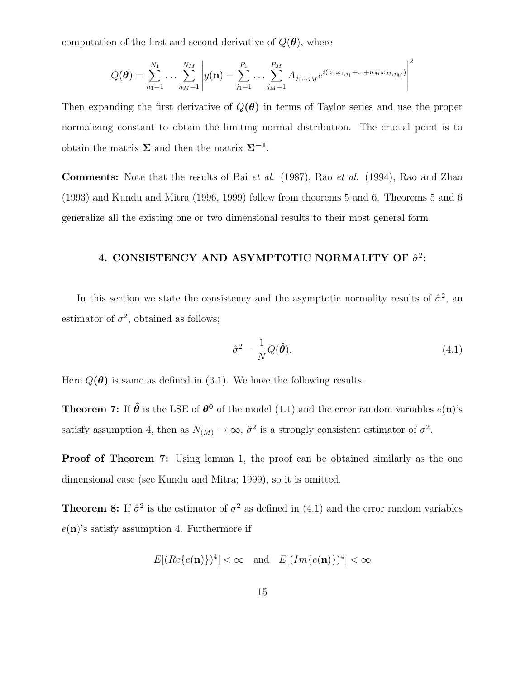computation of the first and second derivative of  $Q(\boldsymbol{\theta})$ , where

$$
Q(\boldsymbol{\theta}) = \sum_{n_1=1}^{N_1} \dots \sum_{n_M=1}^{N_M} \left| y(\mathbf{n}) - \sum_{j_1=1}^{P_1} \dots \sum_{j_M=1}^{P_M} A_{j_1 \dots j_M} e^{i(n_1 \omega_{1,j_1} + \dots + n_M \omega_{M,j_M})} \right|^2
$$

Then expanding the first derivative of  $Q(\theta)$  in terms of Taylor series and use the proper normalizing constant to obtain the limiting normal distribution. The crucial point is to obtain the matrix  $\Sigma$  and then the matrix  $\Sigma^{-1}$ .

Comments: Note that the results of Bai et al. (1987), Rao et al. (1994), Rao and Zhao (1993) and Kundu and Mitra (1996, 1999) follow from theorems 5 and 6. Theorems 5 and 6 generalize all the existing one or two dimensional results to their most general form.

## 4. CONSISTENCY AND ASYMPTOTIC NORMALITY OF  $\hat{\sigma}^2$ :

In this section we state the consistency and the asymptotic normality results of  $\hat{\sigma}^2$ , and estimator of  $\sigma^2$ , obtained as follows;

$$
\hat{\sigma}^2 = \frac{1}{N} Q(\hat{\boldsymbol{\theta}}). \tag{4.1}
$$

Here  $Q(\theta)$  is same as defined in (3.1). We have the following results.

**Theorem 7:** If  $\hat{\theta}$  is the LSE of  $\theta^0$  of the model (1.1) and the error random variables  $e(\mathbf{n})$ 's satisfy assumption 4, then as  $N_{(M)} \to \infty$ ,  $\hat{\sigma}^2$  is a strongly consistent estimator of  $\sigma^2$ .

**Proof of Theorem 7:** Using lemma 1, the proof can be obtained similarly as the one dimensional case (see Kundu and Mitra; 1999), so it is omitted.

**Theorem 8:** If  $\hat{\sigma}^2$  is the estimator of  $\sigma^2$  as defined in (4.1) and the error random variables  $e(\mathbf{n})$ 's satisfy assumption 4. Furthermore if

$$
E[(Re\{e(\mathbf{n})\})^4] < \infty \quad \text{and} \quad E[(Im\{e(\mathbf{n})\})^4] < \infty
$$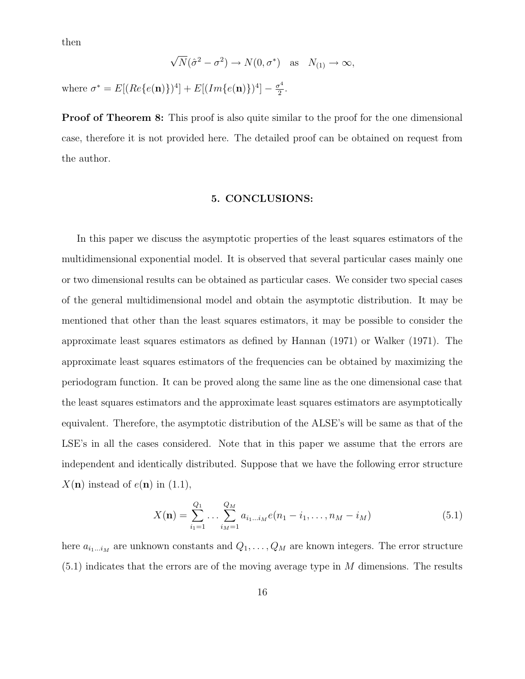then

$$
\sqrt{N}(\hat{\sigma}^2 - \sigma^2) \to N(0, \sigma^*) \text{ as } N_{(1)} \to \infty,
$$
  
where  $\sigma^* = E[(Re\{e(\mathbf{n})\})^4] + E[(Im\{e(\mathbf{n})\})^4] - \frac{\sigma^4}{2}.$ 

**Proof of Theorem 8:** This proof is also quite similar to the proof for the one dimensional case, therefore it is not provided here. The detailed proof can be obtained on request from the author.

#### 5. CONCLUSIONS:

In this paper we discuss the asymptotic properties of the least squares estimators of the multidimensional exponential model. It is observed that several particular cases mainly one or two dimensional results can be obtained as particular cases. We consider two special cases of the general multidimensional model and obtain the asymptotic distribution. It may be mentioned that other than the least squares estimators, it may be possible to consider the approximate least squares estimators as defined by Hannan (1971) or Walker (1971). The approximate least squares estimators of the frequencies can be obtained by maximizing the periodogram function. It can be proved along the same line as the one dimensional case that the least squares estimators and the approximate least squares estimators are asymptotically equivalent. Therefore, the asymptotic distribution of the ALSE's will be same as that of the LSE's in all the cases considered. Note that in this paper we assume that the errors are independent and identically distributed. Suppose that we have the following error structure  $X(n)$  instead of  $e(n)$  in  $(1.1)$ ,

$$
X(\mathbf{n}) = \sum_{i_1=1}^{Q_1} \dots \sum_{i_M=1}^{Q_M} a_{i_1 \dots i_M} e(n_1 - i_1, \dots, n_M - i_M)
$$
(5.1)

here  $a_{i_1...i_M}$  are unknown constants and  $Q_1, \ldots, Q_M$  are known integers. The error structure  $(5.1)$  indicates that the errors are of the moving average type in M dimensions. The results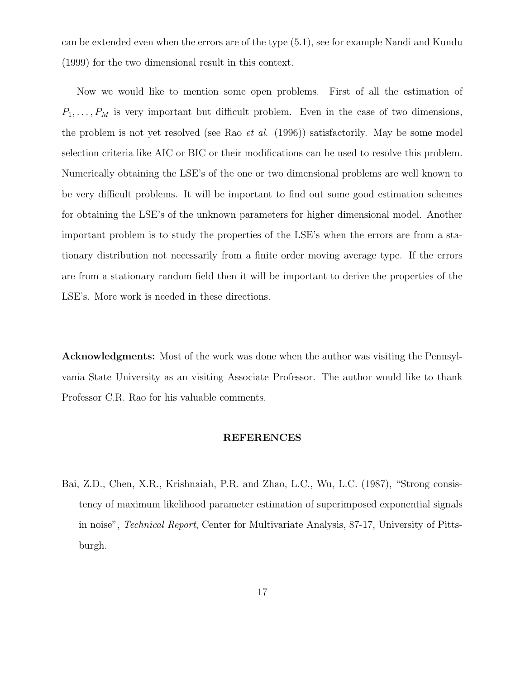can be extended even when the errors are of the type (5.1), see for example Nandi and Kundu (1999) for the two dimensional result in this context.

Now we would like to mention some open problems. First of all the estimation of  $P_1, \ldots, P_M$  is very important but difficult problem. Even in the case of two dimensions, the problem is not yet resolved (see Rao et al. (1996)) satisfactorily. May be some model selection criteria like AIC or BIC or their modifications can be used to resolve this problem. Numerically obtaining the LSE's of the one or two dimensional problems are well known to be very difficult problems. It will be important to find out some good estimation schemes for obtaining the LSE's of the unknown parameters for higher dimensional model. Another important problem is to study the properties of the LSE's when the errors are from a stationary distribution not necessarily from a finite order moving average type. If the errors are from a stationary random field then it will be important to derive the properties of the LSE's. More work is needed in these directions.

Acknowledgments: Most of the work was done when the author was visiting the Pennsylvania State University as an visiting Associate Professor. The author would like to thank Professor C.R. Rao for his valuable comments.

#### REFERENCES

Bai, Z.D., Chen, X.R., Krishnaiah, P.R. and Zhao, L.C., Wu, L.C. (1987), "Strong consistency of maximum likelihood parameter estimation of superimposed exponential signals in noise", Technical Report, Center for Multivariate Analysis, 87-17, University of Pittsburgh.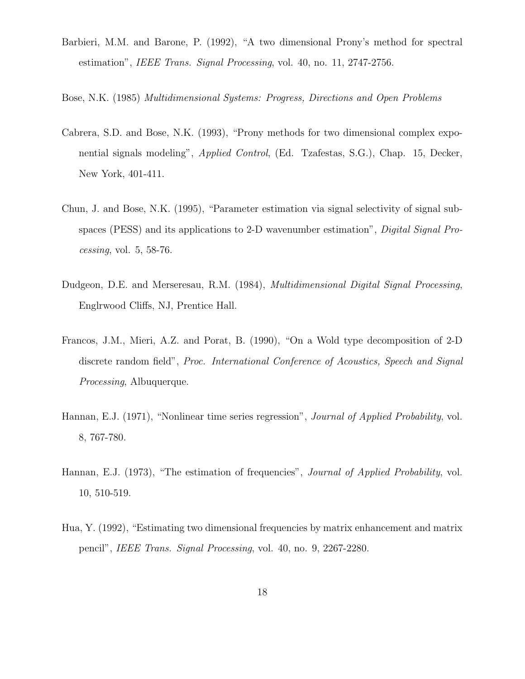- Barbieri, M.M. and Barone, P. (1992), "A two dimensional Prony's method for spectral estimation", IEEE Trans. Signal Processing, vol. 40, no. 11, 2747-2756.
- Bose, N.K. (1985) Multidimensional Systems: Progress, Directions and Open Problems
- Cabrera, S.D. and Bose, N.K. (1993), "Prony methods for two dimensional complex exponential signals modeling", Applied Control, (Ed. Tzafestas, S.G.), Chap. 15, Decker, New York, 401-411.
- Chun, J. and Bose, N.K. (1995), "Parameter estimation via signal selectivity of signal subspaces (PESS) and its applications to 2-D wavenumber estimation", *Digital Signal Pro*cessing, vol. 5, 58-76.
- Dudgeon, D.E. and Merseresau, R.M. (1984), *Multidimensional Digital Signal Processing*, Englrwood Cliffs, NJ, Prentice Hall.
- Francos, J.M., Mieri, A.Z. and Porat, B. (1990), "On a Wold type decomposition of 2-D discrete random field", Proc. International Conference of Acoustics, Speech and Signal Processing, Albuquerque.
- Hannan, E.J. (1971), "Nonlinear time series regression", *Journal of Applied Probability*, vol. 8, 767-780.
- Hannan, E.J. (1973), "The estimation of frequencies", *Journal of Applied Probability*, vol. 10, 510-519.
- Hua, Y. (1992), "Estimating two dimensional frequencies by matrix enhancement and matrix pencil", IEEE Trans. Signal Processing, vol. 40, no. 9, 2267-2280.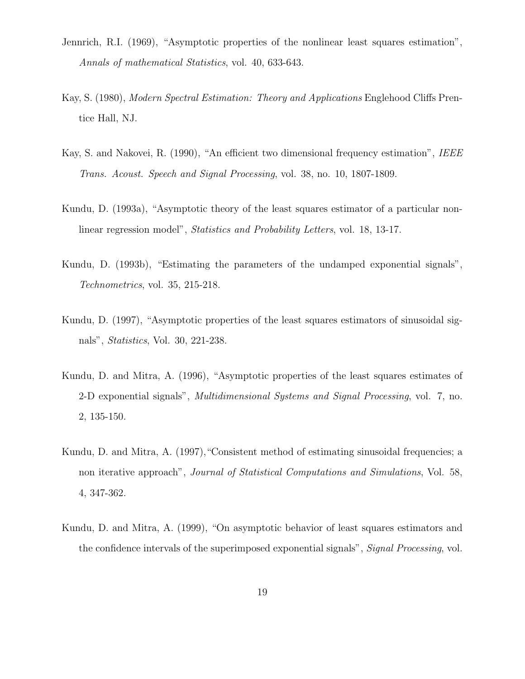- Jennrich, R.I. (1969), "Asymptotic properties of the nonlinear least squares estimation", Annals of mathematical Statistics, vol. 40, 633-643.
- Kay, S. (1980), Modern Spectral Estimation: Theory and Applications Englehood Cliffs Prentice Hall, NJ.
- Kay, S. and Nakovei, R. (1990), "An efficient two dimensional frequency estimation", IEEE Trans. Acoust. Speech and Signal Processing, vol. 38, no. 10, 1807-1809.
- Kundu, D. (1993a), "Asymptotic theory of the least squares estimator of a particular nonlinear regression model", Statistics and Probability Letters, vol. 18, 13-17.
- Kundu, D. (1993b), "Estimating the parameters of the undamped exponential signals", Technometrics, vol. 35, 215-218.
- Kundu, D. (1997), "Asymptotic properties of the least squares estimators of sinusoidal signals", Statistics, Vol. 30, 221-238.
- Kundu, D. and Mitra, A. (1996), "Asymptotic properties of the least squares estimates of 2-D exponential signals", Multidimensional Systems and Signal Processing, vol. 7, no. 2, 135-150.
- Kundu, D. and Mitra, A. (1997),"Consistent method of estimating sinusoidal frequencies; a non iterative approach", Journal of Statistical Computations and Simulations, Vol. 58, 4, 347-362.
- Kundu, D. and Mitra, A. (1999), "On asymptotic behavior of least squares estimators and the confidence intervals of the superimposed exponential signals", Signal Processing, vol.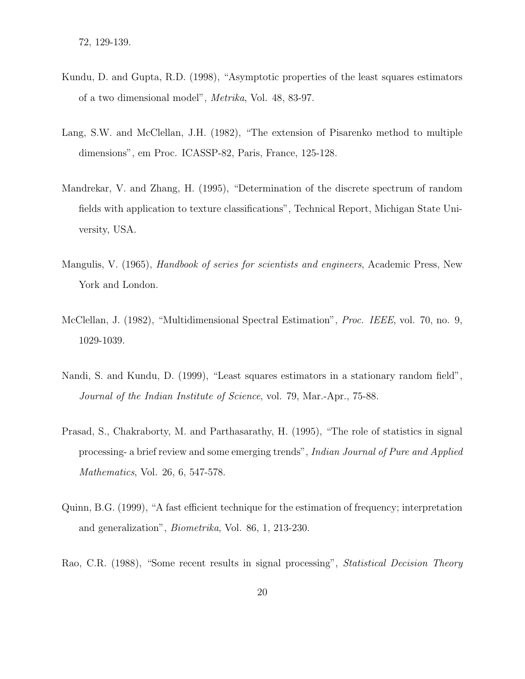- Kundu, D. and Gupta, R.D. (1998), "Asymptotic properties of the least squares estimators of a two dimensional model", Metrika, Vol. 48, 83-97.
- Lang, S.W. and McClellan, J.H. (1982), "The extension of Pisarenko method to multiple dimensions", em Proc. ICASSP-82, Paris, France, 125-128.
- Mandrekar, V. and Zhang, H. (1995), "Determination of the discrete spectrum of random fields with application to texture classifications", Technical Report, Michigan State University, USA.
- Mangulis, V. (1965), *Handbook of series for scientists and engineers*, Academic Press, New York and London.
- McClellan, J. (1982), "Multidimensional Spectral Estimation", Proc. IEEE, vol. 70, no. 9, 1029-1039.
- Nandi, S. and Kundu, D. (1999), "Least squares estimators in a stationary random field", Journal of the Indian Institute of Science, vol. 79, Mar.-Apr., 75-88.
- Prasad, S., Chakraborty, M. and Parthasarathy, H. (1995), "The role of statistics in signal processing- a brief review and some emerging trends", Indian Journal of Pure and Applied Mathematics, Vol. 26, 6, 547-578.
- Quinn, B.G. (1999), "A fast efficient technique for the estimation of frequency; interpretation and generalization", Biometrika, Vol. 86, 1, 213-230.
- Rao, C.R. (1988), "Some recent results in signal processing", Statistical Decision Theory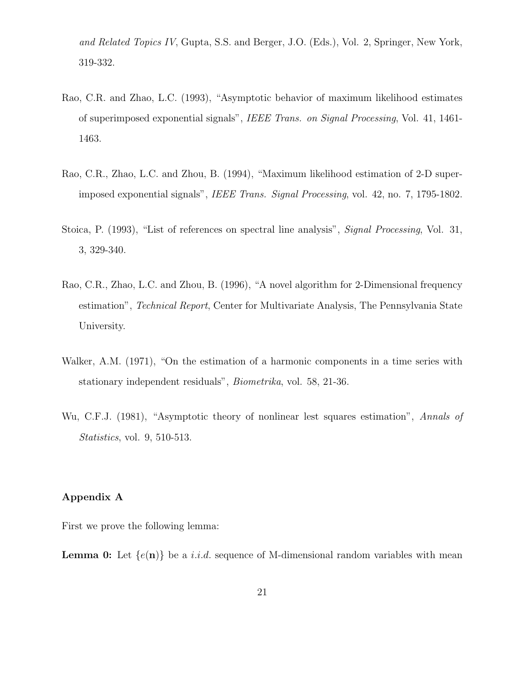and Related Topics IV, Gupta, S.S. and Berger, J.O. (Eds.), Vol. 2, Springer, New York, 319-332.

- Rao, C.R. and Zhao, L.C. (1993), "Asymptotic behavior of maximum likelihood estimates of superimposed exponential signals", IEEE Trans. on Signal Processing, Vol. 41, 1461- 1463.
- Rao, C.R., Zhao, L.C. and Zhou, B. (1994), "Maximum likelihood estimation of 2-D superimposed exponential signals", IEEE Trans. Signal Processing, vol. 42, no. 7, 1795-1802.
- Stoica, P. (1993), "List of references on spectral line analysis", Signal Processing, Vol. 31, 3, 329-340.
- Rao, C.R., Zhao, L.C. and Zhou, B. (1996), "A novel algorithm for 2-Dimensional frequency estimation", Technical Report, Center for Multivariate Analysis, The Pennsylvania State University.
- Walker, A.M. (1971), "On the estimation of a harmonic components in a time series with stationary independent residuals", Biometrika, vol. 58, 21-36.
- Wu, C.F.J. (1981), "Asymptotic theory of nonlinear lest squares estimation", Annals of Statistics, vol. 9, 510-513.

#### Appendix A

First we prove the following lemma:

**Lemma 0:** Let  $\{e(\mathbf{n})\}$  be a *i.i.d.* sequence of M-dimensional random variables with mean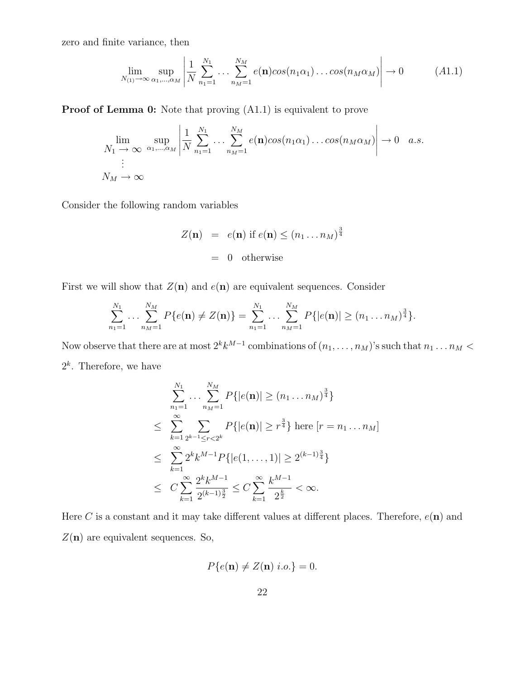zero and finite variance, then

$$
\lim_{N_{(1)} \to \infty} \sup_{\alpha_1, \dots, \alpha_M} \left| \frac{1}{N} \sum_{n_1=1}^{N_1} \dots \sum_{n_M=1}^{N_M} e(\mathbf{n}) \cos(n_1 \alpha_1) \dots \cos(n_M \alpha_M) \right| \to 0 \tag{A1.1}
$$

Proof of Lemma 0: Note that proving (A1.1) is equivalent to prove

$$
\lim_{N_1 \to \infty} \sup_{\alpha_1, \dots, \alpha_M} \left| \frac{1}{N} \sum_{n_1=1}^{N_1} \dots \sum_{n_M=1}^{N_M} e(\mathbf{n}) \cos(n_1 \alpha_1) \dots \cos(n_M \alpha_M) \right| \to 0 \quad a.s.
$$
\n
$$
N_M \to \infty
$$

Consider the following random variables

$$
Z(\mathbf{n}) = e(\mathbf{n}) \text{ if } e(\mathbf{n}) \le (n_1 \dots n_M)^{\frac{3}{4}}
$$
  
= 0 otherwise

First we will show that  $Z(n)$  and  $e(n)$  are equivalent sequences. Consider

$$
\sum_{n_1=1}^{N_1} \ldots \sum_{n_M=1}^{N_M} P\{e(\mathbf{n}) \neq Z(\mathbf{n})\} = \sum_{n_1=1}^{N_1} \ldots \sum_{n_M=1}^{N_M} P\{|e(\mathbf{n})| \geq (n_1 \ldots n_M)^{\frac{3}{4}}\}.
$$

Now observe that there are at most  $2^k k^{M-1}$  combinations of  $(n_1, \ldots, n_M)$ 's such that  $n_1 \ldots n_M <$  $2^k$ . Therefore, we have

$$
\sum_{n_1=1}^{N_1} \dots \sum_{n_M=1}^{N_M} P\{|e(\mathbf{n})| \ge (n_1 \dots n_M)^{\frac{3}{4}}\}
$$
\n
$$
\le \sum_{k=1}^{\infty} \sum_{2^{k-1} \le r < 2^k} P\{|e(\mathbf{n})| \ge r^{\frac{3}{4}}\} \text{ here } [r = n_1 \dots n_M]
$$
\n
$$
\le \sum_{k=1}^{\infty} 2^k k^{M-1} P\{|e(1, \dots, 1)| \ge 2^{(k-1)\frac{3}{4}}\}
$$
\n
$$
\le C \sum_{k=1}^{\infty} \frac{2^k k^{M-1}}{2^{(k-1)\frac{3}{2}}} \le C \sum_{k=1}^{\infty} \frac{k^{M-1}}{2^{\frac{k}{2}}} < \infty.
$$

Here C is a constant and it may take different values at different places. Therefore,  $e(\mathbf{n})$  and  $Z(\mathbf{n})$  are equivalent sequences. So,

$$
P\{e(\mathbf{n}) \neq Z(\mathbf{n}) \ i.o.\} = 0.
$$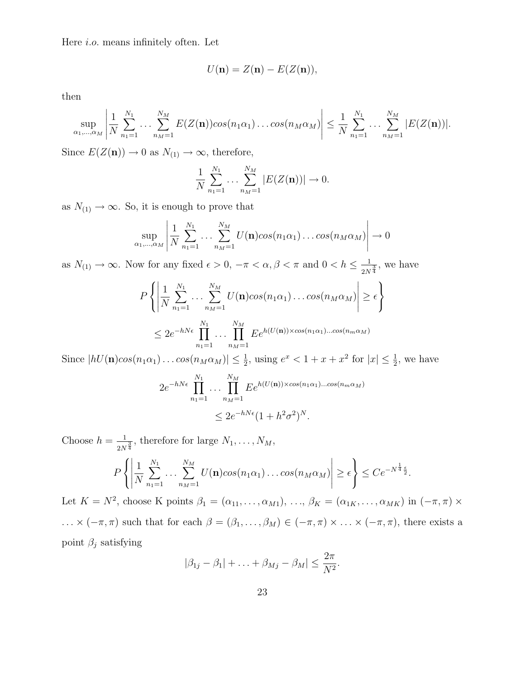Here i.o. means infinitely often. Let

$$
U(\mathbf{n})=Z(\mathbf{n})-E(Z(\mathbf{n})),
$$

then

$$
\sup_{\alpha_1,\dots,\alpha_M} \left| \frac{1}{N} \sum_{n_1=1}^{N_1} \dots \sum_{n_M=1}^{N_M} E(Z(\mathbf{n})) \cos(n_1 \alpha_1) \dots \cos(n_M \alpha_M) \right| \leq \frac{1}{N} \sum_{n_1=1}^{N_1} \dots \sum_{n_M=1}^{N_M} |E(Z(\mathbf{n}))|.
$$

Since  $E(Z(\mathbf{n})) \to 0$  as  $N_{(1)} \to \infty$ , therefore,

$$
\frac{1}{N} \sum_{n_1=1}^{N_1} \dots \sum_{n_M=1}^{N_M} |E(Z(\mathbf{n}))| \to 0.
$$

as  $N_{(1)} \rightarrow \infty$ . So, it is enough to prove that

$$
\sup_{\alpha_1,\dots,\alpha_M} \left| \frac{1}{N} \sum_{n_1=1}^{N_1} \dots \sum_{n_M=1}^{N_M} U(\mathbf{n}) \cos(n_1 \alpha_1) \dots \cos(n_M \alpha_M) \right| \to 0
$$

as  $N_{(1)} \to \infty$ . Now for any fixed  $\epsilon > 0$ ,  $-\pi < \alpha, \beta < \pi$  and  $0 < h \leq \frac{1}{2N}$  $\frac{1}{2N^{\frac{3}{4}}}$ , we have

$$
P\left\{\left|\frac{1}{N}\sum_{n_1=1}^{N_1}\ldots\sum_{n_M=1}^{N_M}U(\mathbf{n})cos(n_1\alpha_1)\ldots cos(n_M\alpha_M)\right|\geq \epsilon\right\}
$$
  

$$
\leq 2e^{-hN\epsilon}\prod_{n_1=1}^{N_1}\ldots\prod_{n_M=1}^{N_M}Ee^{h(U(\mathbf{n}))\times cos(n_1\alpha_1)\ldots cos(n_m\alpha_M)}
$$

Since  $|hU(\mathbf{n})cos(n_1\alpha_1)...cos(n_M\alpha_M)| \leq \frac{1}{2}$  $\frac{1}{2}$ , using  $e^x < 1 + x + x^2$  for  $|x| \le \frac{1}{2}$  $\frac{1}{2}$ , we have

$$
2e^{-hN\epsilon} \prod_{n_1=1}^{N_1} \dots \prod_{n_M=1}^{N_M} E e^{h(U(\mathbf{n})) \times \cos(n_1 \alpha_1) \dots \cos(n_m \alpha_M)}
$$
  

$$
\leq 2e^{-hN\epsilon} (1 + h^2 \sigma^2)^N.
$$

Choose  $h=\frac{1}{2M}$  $\frac{1}{2N^{\frac{3}{4}}}$ , therefore for large  $N_1, \ldots, N_M$ ,

$$
P\left\{\left|\frac{1}{N}\sum_{n_1=1}^{N_1}\ldots\sum_{n_M=1}^{N_M}U(\mathbf{n})cos(n_1\alpha_1)\ldots cos(n_M\alpha_M)\right|\geq \epsilon\right\}\leq Ce^{-N^{\frac{1}{4}}\frac{\epsilon}{2}}.
$$

Let  $K = N^2$ , choose K points  $\beta_1 = (\alpha_{11}, \ldots, \alpha_{M1}), \ldots, \beta_K = (\alpha_{1K}, \ldots, \alpha_{MK})$  in  $(-\pi, \pi) \times$ ...  $\times$  ( $-\pi, \pi$ ) such that for each  $\beta = (\beta_1, \ldots, \beta_M) \in (-\pi, \pi) \times \ldots \times (-\pi, \pi)$ , there exists a point  $\beta_j$  satisfying

$$
|\beta_{1j}-\beta_1|+\ldots+\beta_{Mj}-\beta_M|\leq \frac{2\pi}{N^2}.
$$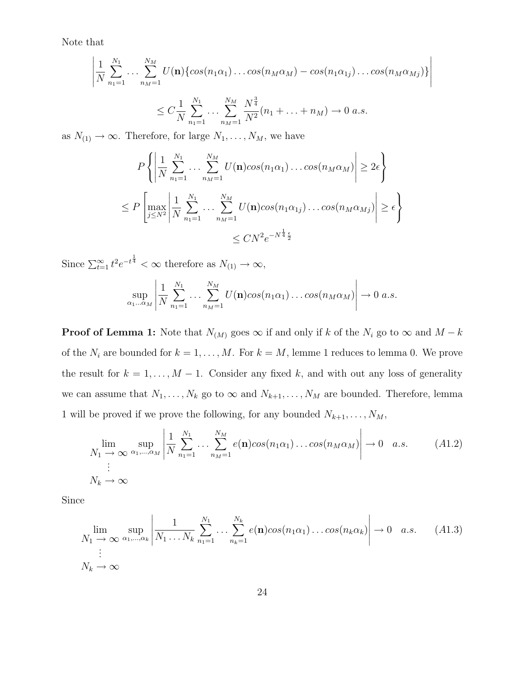Note that

$$
\left| \frac{1}{N} \sum_{n_1=1}^{N_1} \dots \sum_{n_M=1}^{N_M} U(\mathbf{n}) \{ \cos(n_1 \alpha_1) \dots \cos(n_M \alpha_M) - \cos(n_1 \alpha_{1j}) \dots \cos(n_M \alpha_{Mj}) \} \right|
$$
  
 
$$
\leq C \frac{1}{N} \sum_{n_1=1}^{N_1} \dots \sum_{n_M=1}^{N_M} \frac{N^{\frac{3}{4}}}{N^2} (n_1 + \dots + n_M) \to 0 \text{ a.s.}
$$

as  $N_{(1)} \rightarrow \infty$ . Therefore, for large  $N_1, \ldots, N_M$ , we have

$$
P\left\{ \left| \frac{1}{N} \sum_{n_1=1}^{N_1} \dots \sum_{n_M=1}^{N_M} U(\mathbf{n}) \cos(n_1 \alpha_1) \dots \cos(n_M \alpha_M) \right| \ge 2\epsilon \right\}
$$
  

$$
\le P\left[\max_{j \le N^2} \left| \frac{1}{N} \sum_{n_1=1}^{N_1} \dots \sum_{n_M=1}^{N_M} U(\mathbf{n}) \cos(n_1 \alpha_{1j}) \dots \cos(n_M \alpha_{Mj}) \right| \ge \epsilon \right\}
$$
  

$$
\le CN^2 e^{-N^{\frac{1}{4}} \frac{\epsilon}{2}}
$$

Since  $\sum_{t=1}^{\infty} t^2 e^{-t^{\frac{1}{4}}} < \infty$  therefore as  $N_{(1)} \to \infty$ ,

$$
\sup_{\alpha_1...\alpha_M} \left| \frac{1}{N} \sum_{n_1=1}^{N_1} \dots \sum_{n_M=1}^{N_M} U(\mathbf{n}) cos(n_1 \alpha_1) \dots cos(n_M \alpha_M) \right| \to 0 \ a.s.
$$

**Proof of Lemma 1:** Note that  $N_{(M)}$  goes  $\infty$  if and only if k of the  $N_i$  go to  $\infty$  and  $M - k$ of the  $N_i$  are bounded for  $k = 1, ..., M$ . For  $k = M$ , lemme 1 reduces to lemma 0. We prove the result for  $k = 1, ..., M - 1$ . Consider any fixed k, and with out any loss of generality we can assume that  $N_1, \ldots, N_k$  go to  $\infty$  and  $N_{k+1}, \ldots, N_M$  are bounded. Therefore, lemma 1 will be proved if we prove the following, for any bounded  $N_{k+1}, \ldots, N_M$ ,

$$
\lim_{N_1 \to \infty} \sup_{\alpha_1, \dots, \alpha_M} \left| \frac{1}{N} \sum_{n_1=1}^{N_1} \dots \sum_{n_M=1}^{N_M} e(\mathbf{n}) \cos(n_1 \alpha_1) \dots \cos(n_M \alpha_M) \right| \to 0 \quad a.s. \tag{A1.2}
$$
\n
$$
\vdots
$$
\n
$$
N_k \to \infty
$$

Since

$$
\lim_{N_1 \to \infty} \sup_{\alpha_1, \dots, \alpha_k} \left| \frac{1}{N_1 \dots N_k} \sum_{n_1=1}^{N_1} \dots \sum_{n_k=1}^{N_k} e(\mathbf{n}) \cos(n_1 \alpha_1) \dots \cos(n_k \alpha_k) \right| \to 0 \quad a.s. \quad (A1.3)
$$
  
 
$$
\vdots
$$
  
\n
$$
N_k \to \infty
$$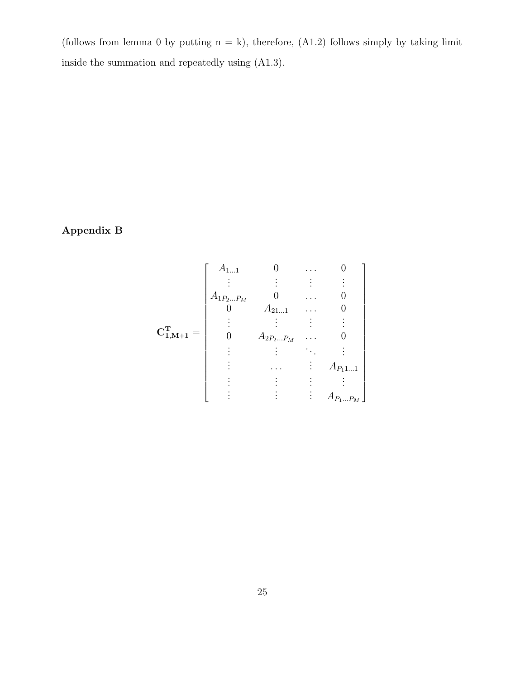(follows from lemma 0 by putting  $n = k$ ), therefore, (A1.2) follows simply by taking limit inside the summation and repeatedly using (A1.3).

## Appendix B

$$
\mathbf{C}_{1,\mathbf{M}+1}^{\mathbf{T}} = \begin{bmatrix} A_{1...1} & 0 & \cdots & 0 \\ \vdots & \vdots & \vdots & \vdots \\ A_{1P_{2...}P_{M}} & 0 & \cdots & 0 \\ 0 & A_{21...1} & \cdots & 0 \\ \vdots & \vdots & \vdots & \vdots \\ 0 & A_{2P_{2...}P_{M}} & \cdots & 0 \\ \vdots & \vdots & \ddots & \vdots \\ \vdots & \cdots & \vdots & A_{P_{1}1...1} \\ \vdots & \vdots & \vdots & \vdots \\ 0 & \cdots & \cdots & \vdots \\ \end{bmatrix}
$$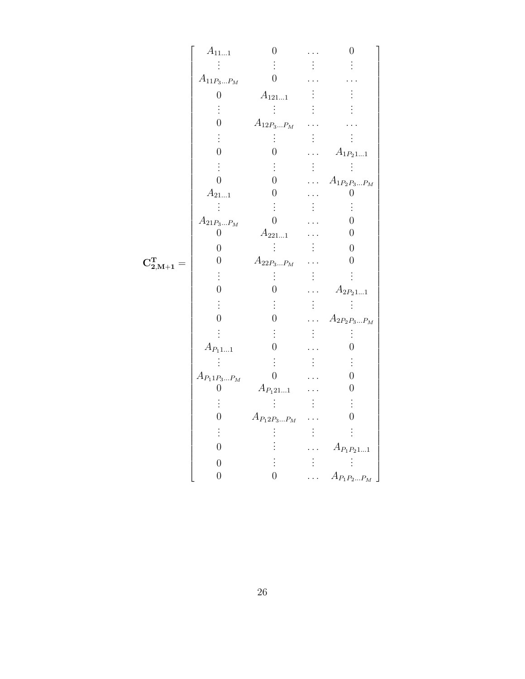|                                                                                                                                                                                                                                                                                                                                                                                                                                                            | $A_{111}$                   | $\overline{0}$                |           | $\boldsymbol{0}$             |
|------------------------------------------------------------------------------------------------------------------------------------------------------------------------------------------------------------------------------------------------------------------------------------------------------------------------------------------------------------------------------------------------------------------------------------------------------------|-----------------------------|-------------------------------|-----------|------------------------------|
| $\label{eq:CS} \mathbf{C}_{2,\mathbf{M}+1}^{\mathbf{T}}=% \begin{bmatrix} \mathbf{C}_1^{\mathbf{T}} & \mathbf{C}_2^{\mathbf{T}} & \mathbf{C}_3^{\mathbf{T}} \\ \mathbf{C}_4 & \mathbf{C}_4^{\mathbf{T}} & \mathbf{C}_5^{\mathbf{T}} \\ \mathbf{C}_6 & \mathbf{C}_7^{\mathbf{T}} & \mathbf{C}_8^{\mathbf{T}} \\ \mathbf{C}_9 & \mathbf{C}_9^{\mathbf{T}} & \mathbf{C}_9^{\mathbf{T}} \\ \mathbf{C}_9 & \mathbf{C}_9^{\mathbf{T}} & \mathbf{C}_9^{\mathbf{T$ |                             |                               |           |                              |
|                                                                                                                                                                                                                                                                                                                                                                                                                                                            | $A_{11P_3\ldots P_M}$       | $\overline{0}$                |           |                              |
|                                                                                                                                                                                                                                                                                                                                                                                                                                                            | $\overline{0}$              | $A_{121\ldots1}$              |           |                              |
|                                                                                                                                                                                                                                                                                                                                                                                                                                                            |                             |                               |           |                              |
|                                                                                                                                                                                                                                                                                                                                                                                                                                                            | $\overline{0}$              | $A_{12P_3\ldots P_M}$         |           |                              |
|                                                                                                                                                                                                                                                                                                                                                                                                                                                            |                             |                               |           |                              |
|                                                                                                                                                                                                                                                                                                                                                                                                                                                            | $\overline{0}$              | $\boldsymbol{0}$              |           | $A_{1P_21\ldots1}$           |
|                                                                                                                                                                                                                                                                                                                                                                                                                                                            |                             |                               |           |                              |
|                                                                                                                                                                                                                                                                                                                                                                                                                                                            | $\overline{0}$              | $\overline{0}$                |           | $A_{1P_2P_3P_M}$             |
|                                                                                                                                                                                                                                                                                                                                                                                                                                                            | $\mathcal{A}_{21\ldots1}$   | $\boldsymbol{0}$              |           | $\boldsymbol{0}$             |
|                                                                                                                                                                                                                                                                                                                                                                                                                                                            | Ξ                           |                               |           |                              |
|                                                                                                                                                                                                                                                                                                                                                                                                                                                            | $A_{21P_3\ldots P_M}$       | $\overline{0}$                |           | $\overline{0}$               |
|                                                                                                                                                                                                                                                                                                                                                                                                                                                            | $\boldsymbol{0}$            | $\mathcal{A}_{221\ldots1}$    |           | $\boldsymbol{0}$             |
|                                                                                                                                                                                                                                                                                                                                                                                                                                                            | $\boldsymbol{0}$            |                               |           | 0                            |
|                                                                                                                                                                                                                                                                                                                                                                                                                                                            | $\boldsymbol{0}$            | $A_{22P_3\ldots P_M}$         |           | 0                            |
|                                                                                                                                                                                                                                                                                                                                                                                                                                                            |                             |                               |           |                              |
|                                                                                                                                                                                                                                                                                                                                                                                                                                                            | $\overline{0}$              | $\overline{0}$                |           | $\mathcal{A}_{2P_21\ldots1}$ |
|                                                                                                                                                                                                                                                                                                                                                                                                                                                            |                             |                               |           |                              |
|                                                                                                                                                                                                                                                                                                                                                                                                                                                            | $\overline{0}$              | $\boldsymbol{0}$              | $\ddotsc$ | $A_{2P_2P_3P_M}$             |
|                                                                                                                                                                                                                                                                                                                                                                                                                                                            |                             |                               |           |                              |
|                                                                                                                                                                                                                                                                                                                                                                                                                                                            | $\mathcal{A}_{P_11\ldots1}$ | $\boldsymbol{0}$              |           | $\boldsymbol{0}$             |
|                                                                                                                                                                                                                                                                                                                                                                                                                                                            |                             |                               |           |                              |
|                                                                                                                                                                                                                                                                                                                                                                                                                                                            | $A_{P_1 1 P_3  P_M}$        | $\overline{0}$                |           | $\overline{0}$               |
|                                                                                                                                                                                                                                                                                                                                                                                                                                                            | 0                           | $\mathcal{A}_{P_1 21\ldots1}$ |           | $\boldsymbol{0}$             |
|                                                                                                                                                                                                                                                                                                                                                                                                                                                            |                             |                               |           |                              |
|                                                                                                                                                                                                                                                                                                                                                                                                                                                            | $\overline{0}$              | $\mathcal{A}_{P_12P_3P_M}$    |           | 0                            |
|                                                                                                                                                                                                                                                                                                                                                                                                                                                            |                             |                               |           |                              |
|                                                                                                                                                                                                                                                                                                                                                                                                                                                            | $\overline{0}$              |                               |           | $A_{P_1P_211}$               |
|                                                                                                                                                                                                                                                                                                                                                                                                                                                            | $\boldsymbol{0}$            |                               |           |                              |
|                                                                                                                                                                                                                                                                                                                                                                                                                                                            | $\boldsymbol{0}$            | $\boldsymbol{0}$              | .         | $\mathcal{A}_{P_1P_2P_M}$    |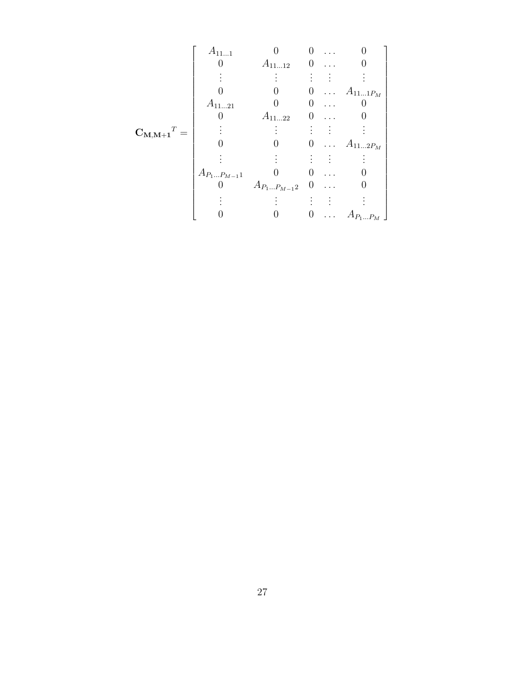|                                                       | $A_{111}$         |                   | 0        |          |                             |
|-------------------------------------------------------|-------------------|-------------------|----------|----------|-----------------------------|
|                                                       |                   | $A_{1112}$        | 0        |          |                             |
|                                                       |                   |                   |          |          |                             |
|                                                       |                   |                   | 0        |          | $\ldots$ $A_{11\ldots1P_M}$ |
|                                                       | $A_{1121}$        |                   |          |          |                             |
|                                                       | $A_{1122}$<br>0   |                   |          |          |                             |
| $\mathbf{C}_{\mathbf{M},\mathbf{M}+\mathbf{1}}{}^T =$ |                   |                   |          |          |                             |
|                                                       |                   |                   | $\theta$ |          | $\ldots$ $A_{112P_M}$       |
|                                                       |                   |                   |          |          |                             |
|                                                       | $A_{P_1P_{M-1}1}$ |                   |          |          |                             |
|                                                       |                   | $A_{P_1P_{M-1}2}$ | $\cup$   | .        |                             |
|                                                       |                   |                   |          |          |                             |
|                                                       |                   |                   | 0        | $\cdots$ | $A_{P_1P_M}$                |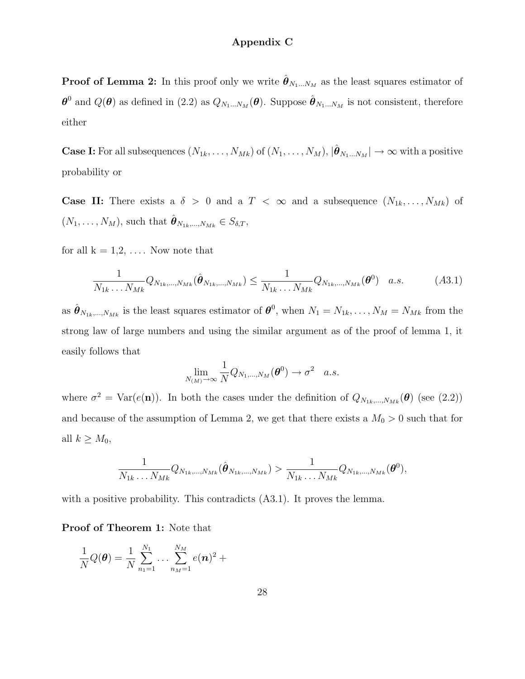### Appendix C

**Proof of Lemma 2:** In this proof only we write  $\hat{\boldsymbol{\theta}}_{N_1...N_M}$  as the least squares estimator of  $\theta^0$  and  $Q(\theta)$  as defined in (2.2) as  $Q_{N_1...N_M}(\theta)$ . Suppose  $\hat{\theta}_{N_1...N_M}$  is not consistent, therefore either

**Case I:** For all subsequences  $(N_{1k}, \ldots, N_{Mk})$  of  $(N_1, \ldots, N_M)$ ,  $|\hat{\boldsymbol{\theta}}_{N_1\ldots N_M}| \to \infty$  with a positive probability or

**Case II:** There exists a  $\delta > 0$  and a  $T < \infty$  and a subsequence  $(N_{1k}, \ldots, N_{Mk})$  of  $(N_1, \ldots, N_M)$ , such that  $\hat{\boldsymbol{\theta}}_{N_{1k},...,N_{Mk}} \in S_{\delta,T}$ ,

for all  $k = 1, 2, \ldots$ . Now note that

$$
\frac{1}{N_{1k} \dots N_{Mk}} Q_{N_{1k},...,N_{Mk}}(\hat{\theta}_{N_{1k},...,N_{Mk}}) \le \frac{1}{N_{1k} \dots N_{Mk}} Q_{N_{1k},...,N_{Mk}}(\theta^0) \quad a.s.
$$
 (A3.1)

as  $\hat{\theta}_{N_{1k},...,N_{Mk}}$  is the least squares estimator of  $\theta^0$ , when  $N_1 = N_{1k},..., N_M = N_{Mk}$  from the strong law of large numbers and using the similar argument as of the proof of lemma 1, it easily follows that

$$
\lim_{N_{(M)}\to\infty}\frac{1}{N}Q_{N_1,\dots,N_M}(\boldsymbol{\theta}^0)\to\sigma^2\quad a.s.
$$

where  $\sigma^2 = \text{Var}(e(\mathbf{n}))$ . In both the cases under the definition of  $Q_{N_{1k},...,N_{Mk}}(\theta)$  (see (2.2)) and because of the assumption of Lemma 2, we get that there exists a  $M_0 > 0$  such that for all  $k \geq M_0$ ,

$$
\frac{1}{N_{1k}\ldots N_{Mk}}Q_{N_{1k},\ldots,N_{Mk}}(\hat{\boldsymbol{\theta}}_{N_{1k},\ldots,N_{Mk}}) > \frac{1}{N_{1k}\ldots N_{Mk}}Q_{N_{1k},\ldots,N_{Mk}}(\boldsymbol{\theta}^{0}),
$$

with a positive probability. This contradicts  $(A3.1)$ . It proves the lemma.

#### Proof of Theorem 1: Note that

$$
\frac{1}{N}Q(\boldsymbol{\theta}) = \frac{1}{N} \sum_{n_1=1}^{N_1} \dots \sum_{n_M=1}^{N_M} e(\boldsymbol{n})^2 +
$$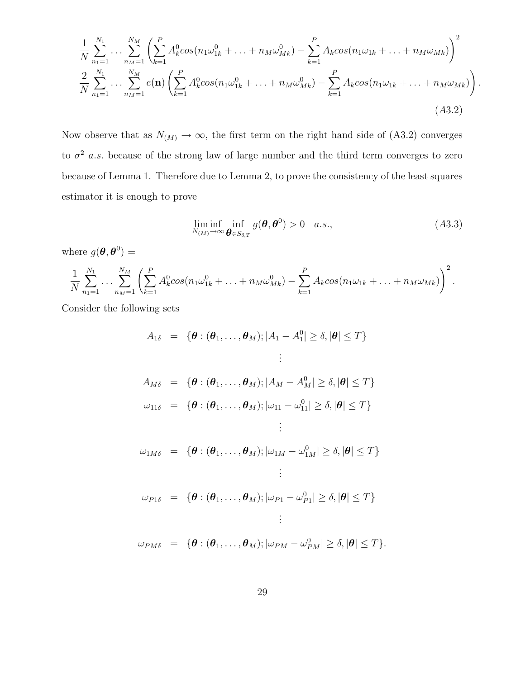$$
\frac{1}{N} \sum_{n_1=1}^{N_1} \dots \sum_{n_M=1}^{N_M} \left( \sum_{k=1}^P A_k^0 \cos(n_1 \omega_{1k}^0 + \dots + n_M \omega_{Mk}^0) - \sum_{k=1}^P A_k \cos(n_1 \omega_{1k} + \dots + n_M \omega_{Mk}) \right)^2
$$
  

$$
\frac{2}{N} \sum_{n_1=1}^{N_1} \dots \sum_{n_M=1}^{N_M} e(n) \left( \sum_{k=1}^P A_k^0 \cos(n_1 \omega_{1k}^0 + \dots + n_M \omega_{Mk}^0) - \sum_{k=1}^P A_k \cos(n_1 \omega_{1k} + \dots + n_M \omega_{Mk}) \right)
$$
  
(A3.2)

Now observe that as  $N_{(M)} \rightarrow \infty$ , the first term on the right hand side of (A3.2) converges to  $\sigma^2$  a.s. because of the strong law of large number and the third term converges to zero because of Lemma 1. Therefore due to Lemma 2, to prove the consistency of the least squares estimator it is enough to prove

$$
\liminf_{N_{(M)} \to \infty} \inf_{\boldsymbol{\theta} \in S_{\delta,T}} g(\boldsymbol{\theta}, \boldsymbol{\theta}^0) > 0 \quad a.s., \tag{A3.3}
$$

.

where  $g(\boldsymbol{\theta}, \boldsymbol{\theta}^0) =$ 

$$
\frac{1}{N} \sum_{n_1=1}^{N_1} \cdots \sum_{n_M=1}^{N_M} \left( \sum_{k=1}^P A_k^0 \cos(n_1 \omega_{1k}^0 + \ldots + n_M \omega_{Mk}^0) - \sum_{k=1}^P A_k \cos(n_1 \omega_{1k} + \ldots + n_M \omega_{Mk}) \right)^2.
$$

Consider the following sets

$$
A_{1\delta} = \{ \theta : (\theta_1, ..., \theta_M); |A_1 - A_1^0| \ge \delta, |\theta| \le T \}
$$
  
\n
$$
\vdots
$$
  
\n
$$
A_{M\delta} = \{ \theta : (\theta_1, ..., \theta_M); |A_M - A_M^0| \ge \delta, |\theta| \le T \}
$$
  
\n
$$
\omega_{11\delta} = \{ \theta : (\theta_1, ..., \theta_M); |\omega_{11} - \omega_{11}^0| \ge \delta, |\theta| \le T \}
$$
  
\n
$$
\vdots
$$
  
\n
$$
\omega_{1M\delta} = \{ \theta : (\theta_1, ..., \theta_M); |\omega_{1M} - \omega_{1M}^0| \ge \delta, |\theta| \le T \}
$$
  
\n
$$
\vdots
$$
  
\n
$$
\omega_{P1\delta} = \{ \theta : (\theta_1, ..., \theta_M); |\omega_{P1} - \omega_{P1}^0| \ge \delta, |\theta| \le T \}
$$
  
\n
$$
\vdots
$$
  
\n
$$
\omega_{PM\delta} = \{ \theta : (\theta_1, ..., \theta_M); |\omega_{PM} - \omega_{PM}^0| \ge \delta, |\theta| \le T \}.
$$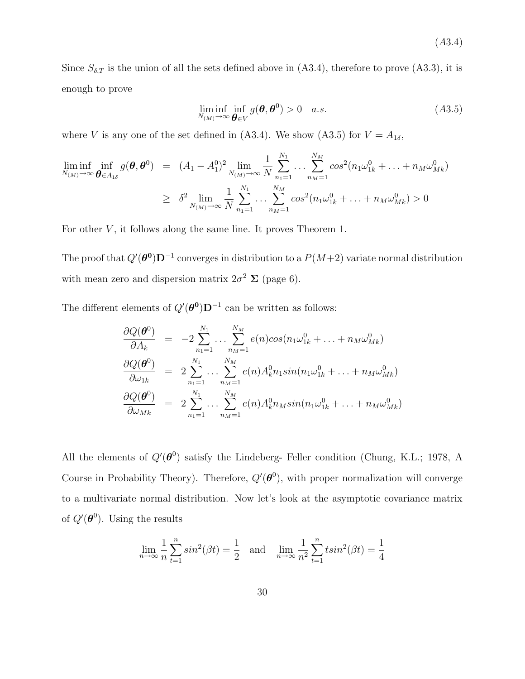(A3.4)

Since  $S_{\delta,T}$  is the union of all the sets defined above in (A3.4), therefore to prove (A3.3), it is enough to prove

$$
\liminf_{N_{(M)} \to \infty} \inf_{\boldsymbol{\theta} \in V} g(\boldsymbol{\theta}, \boldsymbol{\theta}^0) > 0 \quad a.s.
$$
\n(A3.5)

where V is any one of the set defined in (A3.4). We show (A3.5) for  $V = A_{1\delta}$ ,

$$
\liminf_{N_{(M)} \to \infty} \inf_{\boldsymbol{\theta} \in A_{1\delta}} g(\boldsymbol{\theta}, \boldsymbol{\theta}^0) = (A_1 - A_1^0)^2 \lim_{N_{(M)} \to \infty} \frac{1}{N} \sum_{n_1=1}^{N_1} \dots \sum_{n_M=1}^{N_M} \cos^2(n_1 \omega_{1k}^0 + \dots + n_M \omega_{Mk}^0)
$$
\n
$$
\geq \delta^2 \lim_{N_{(M)} \to \infty} \frac{1}{N} \sum_{n_1=1}^{N_1} \dots \sum_{n_M=1}^{N_M} \cos^2(n_1 \omega_{1k}^0 + \dots + n_M \omega_{Mk}^0) > 0
$$

For other  $V$ , it follows along the same line. It proves Theorem 1.

The proof that  $Q'(\theta^0)D^{-1}$  converges in distribution to a  $P(M+2)$  variate normal distribution with mean zero and dispersion matrix  $2\sigma^2 \Sigma$  (page 6).

The different elements of  $Q'(\theta^0)D^{-1}$  can be written as follows:

$$
\frac{\partial Q(\boldsymbol{\theta}^{0})}{\partial A_{k}} = -2 \sum_{n_{1}=1}^{N_{1}} \dots \sum_{n_{M}=1}^{N_{M}} e(n) cos(n_{1} \omega_{1k}^{0} + \dots + n_{M} \omega_{Mk}^{0})
$$
\n
$$
\frac{\partial Q(\boldsymbol{\theta}^{0})}{\partial \omega_{1k}} = 2 \sum_{n_{1}=1}^{N_{1}} \dots \sum_{n_{M}=1}^{N_{M}} e(n) A_{k}^{0} n_{1} sin(n_{1} \omega_{1k}^{0} + \dots + n_{M} \omega_{Mk}^{0})
$$
\n
$$
\frac{\partial Q(\boldsymbol{\theta}^{0})}{\partial \omega_{Mk}} = 2 \sum_{n_{1}=1}^{N_{1}} \dots \sum_{n_{M}=1}^{N_{M}} e(n) A_{k}^{0} n_{M} sin(n_{1} \omega_{1k}^{0} + \dots + n_{M} \omega_{Mk}^{0})
$$

All the elements of  $Q'(\theta^0)$  satisfy the Lindeberg- Feller condition (Chung, K.L.; 1978, A Course in Probability Theory). Therefore,  $Q'(\theta^0)$ , with proper normalization will converge to a multivariate normal distribution. Now let's look at the asymptotic covariance matrix of  $Q'(\boldsymbol{\theta}^0)$ . Using the results

$$
\lim_{n \to \infty} \frac{1}{n} \sum_{t=1}^{n} \sin^{2}(\beta t) = \frac{1}{2} \text{ and } \lim_{n \to \infty} \frac{1}{n^{2}} \sum_{t=1}^{n} \tan^{2}(\beta t) = \frac{1}{4}
$$